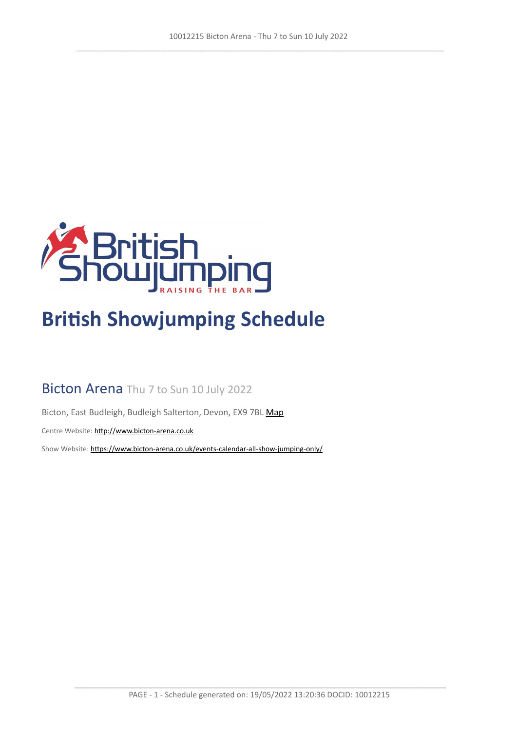

# **British Showjumping Schedule**

# Bicton Arena Thu 7 to Sun 10 July 2022

Bicton, East Budleigh, Budleigh Salterton, Devon, EX9 7BL [Map](https://www.google.com/maps/@50.6622270,-3.3308502,16z)

Centre Website: <http://www.bicton-arena.co.uk>

Show Website: <https://www.bicton-arena.co.uk/events-calendar-all-show-jumping-only/>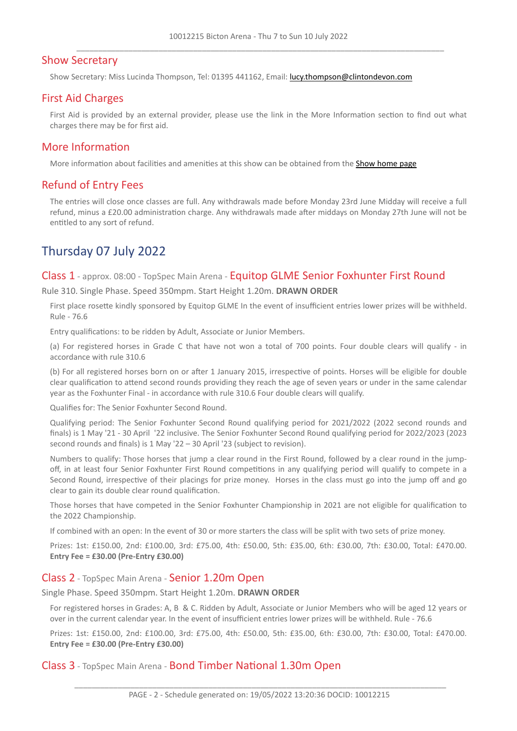## Show Secretary

Show Secretary: Miss Lucinda Thompson, Tel: 01395 441162, Email: <lucy.thompson@clintondevon.com>

## First Aid Charges

First Aid is provided by an external provider, please use the link in the More Information section to find out what charges there may be for first aid.

## More Information

More information about facilities and amenities at this show can be obtained from the [Show](https://www.bicton-arena.co.uk/events-calendar-all-show-jumping-only/) [home](https://www.bicton-arena.co.uk/events-calendar-all-show-jumping-only/) [page](https://www.bicton-arena.co.uk/events-calendar-all-show-jumping-only/)

## Refund of Entry Fees

The entries will close once classes are full. Any withdrawals made before Monday 23rd June Midday will receive a full refund, minus a £20.00 administration charge. Any withdrawals made after middays on Monday 27th June will not be entitled to any sort of refund.

# Thursday 07 July 2022

Class 1 - approx. 08:00 - TopSpec Main Arena - Equitop GLME Senior Foxhunter First Round

Rule 310. Single Phase. Speed 350mpm. Start Height 1.20m. **DRAWN ORDER**

First place rosette kindly sponsored by Equitop GLME In the event of insufficient entries lower prizes will be withheld. Rule - 76.6

Entry qualifications: to be ridden by Adult, Associate or Junior Members.

(a) For registered horses in Grade C that have not won a total of 700 points. Four double clears will qualify - in accordance with rule 310.6

(b) For all registered horses born on or after 1 January 2015, irrespective of points. Horses will be eligible for double clear qualification to attend second rounds providing they reach the age of seven years or under in the same calendar year as the Foxhunter Final - in accordance with rule 310.6 Four double clears will qualify.

Qualifies for: The Senior Foxhunter Second Round.

Qualifying period: The Senior Foxhunter Second Round qualifying period for 2021/2022 (2022 second rounds and finals) is 1 May '21 - 30 April '22 inclusive. The Senior Foxhunter Second Round qualifying period for 2022/2023 (2023 second rounds and finals) is 1 May '22 – 30 April '23 (subject to revision).

Numbers to qualify: Those horses that jump a clear round in the First Round, followed by a clear round in the jumpoff, in at least four Senior Foxhunter First Round competitions in any qualifying period will qualify to compete in a Second Round, irrespective of their placings for prize money. Horses in the class must go into the jump off and go clear to gain its double clear round qualification.

Those horses that have competed in the Senior Foxhunter Championship in 2021 are not eligible for qualification to the 2022 Championship.

If combined with an open: In the event of 30 or more starters the class will be split with two sets of prize money.

Prizes: 1st: £150.00, 2nd: £100.00, 3rd: £75.00, 4th: £50.00, 5th: £35.00, 6th: £30.00, 7th: £30.00, Total: £470.00. **Entry Fee = £30.00 (Pre-Entry £30.00)**

#### Class 2 - TopSpec Main Arena - Senior 1.20m Open

Single Phase. Speed 350mpm. Start Height 1.20m. **DRAWN ORDER**

For registered horses in Grades: A, B & C. Ridden by Adult, Associate or Junior Members who will be aged 12 years or over in the current calendar year. In the event of insufficient entries lower prizes will be withheld. Rule - 76.6

Prizes: 1st: £150.00, 2nd: £100.00, 3rd: £75.00, 4th: £50.00, 5th: £35.00, 6th: £30.00, 7th: £30.00, Total: £470.00. **Entry Fee = £30.00 (Pre-Entry £30.00)**

Class 3 - TopSpec Main Arena - Bond Timber National 1.30m Open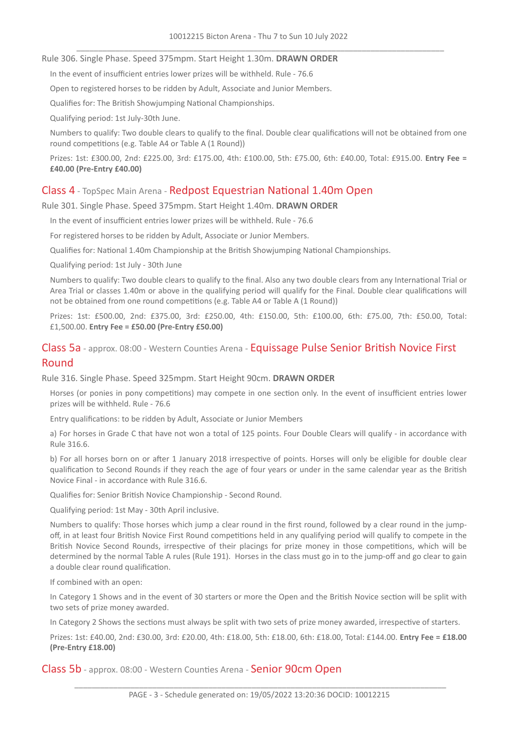#### Rule 306. Single Phase. Speed 375mpm. Start Height 1.30m. **DRAWN ORDER**

In the event of insufficient entries lower prizes will be withheld. Rule - 76.6

Open to registered horses to be ridden by Adult, Associate and Junior Members.

Qualifies for: The British Showjumping National Championships.

Qualifying period: 1st July-30th June.

Numbers to qualify: Two double clears to qualify to the final. Double clear qualifications will not be obtained from one round competitions (e.g. Table A4 or Table A (1 Round))

Prizes: 1st: £300.00, 2nd: £225.00, 3rd: £175.00, 4th: £100.00, 5th: £75.00, 6th: £40.00, Total: £915.00. **Entry Fee = £40.00 (Pre-Entry £40.00)**

## Class 4 - TopSpec Main Arena - Redpost Equestrian National 1.40m Open

Rule 301. Single Phase. Speed 375mpm. Start Height 1.40m. **DRAWN ORDER**

In the event of insufficient entries lower prizes will be withheld. Rule - 76.6

For registered horses to be ridden by Adult, Associate or Junior Members.

Qualifies for: National 1.40m Championship at the British Showjumping National Championships.

Qualifying period: 1st July - 30th June

Numbers to qualify: Two double clears to qualify to the final. Also any two double clears from any International Trial or Area Trial or classes 1.40m or above in the qualifying period will qualify for the Final. Double clear qualifications will not be obtained from one round competitions (e.g. Table A4 or Table A (1 Round))

Prizes: 1st: £500.00, 2nd: £375.00, 3rd: £250.00, 4th: £150.00, 5th: £100.00, 6th: £75.00, 7th: £50.00, Total: £1,500.00. **Entry Fee = £50.00 (Pre-Entry £50.00)**

## Class 5a - approx. 08:00 - Western Counties Arena - Equissage Pulse Senior British Novice First Round

Rule 316. Single Phase. Speed 325mpm. Start Height 90cm. **DRAWN ORDER**

Horses (or ponies in pony competitions) may compete in one section only. In the event of insufficient entries lower prizes will be withheld. Rule - 76.6

Entry qualifications: to be ridden by Adult, Associate or Junior Members

a) For horses in Grade C that have not won a total of 125 points. Four Double Clears will qualify - in accordance with Rule 316.6.

b) For all horses born on or after 1 January 2018 irrespective of points. Horses will only be eligible for double clear qualification to Second Rounds if they reach the age of four years or under in the same calendar year as the British Novice Final - in accordance with Rule 316.6.

Qualifies for: Senior British Novice Championship - Second Round.

Qualifying period: 1st May - 30th April inclusive.

Numbers to qualify: Those horses which jump a clear round in the first round, followed by a clear round in the jumpoff, in at least four British Novice First Round competitions held in any qualifying period will qualify to compete in the British Novice Second Rounds, irrespective of their placings for prize money in those competitions, which will be determined by the normal Table A rules (Rule 191). Horses in the class must go in to the jump-off and go clear to gain a double clear round qualification.

If combined with an open:

In Category 1 Shows and in the event of 30 starters or more the Open and the British Novice section will be split with two sets of prize money awarded.

In Category 2 Shows the sections must always be split with two sets of prize money awarded, irrespective of starters.

Prizes: 1st: £40.00, 2nd: £30.00, 3rd: £20.00, 4th: £18.00, 5th: £18.00, 6th: £18.00, Total: £144.00. **Entry Fee = £18.00 (Pre-Entry £18.00)**

Class 5b - approx. 08:00 - Western Counties Arena - Senior 90cm Open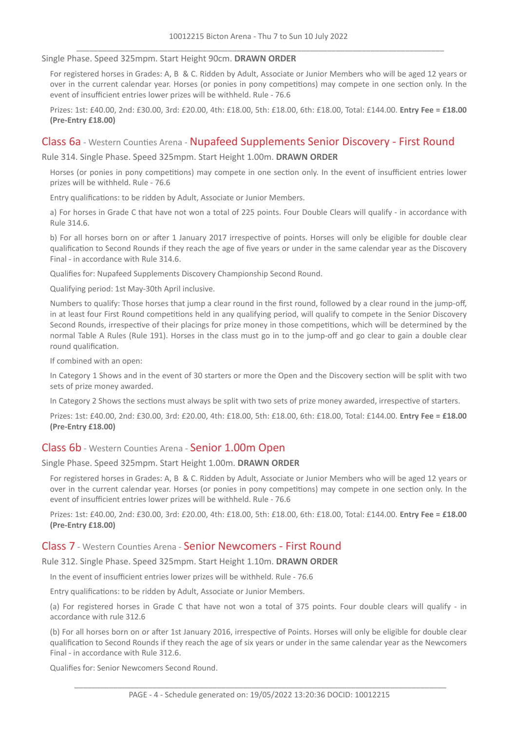#### Single Phase. Speed 325mpm. Start Height 90cm. **DRAWN ORDER**

For registered horses in Grades: A, B & C. Ridden by Adult, Associate or Junior Members who will be aged 12 years or over in the current calendar year. Horses (or ponies in pony competitions) may compete in one section only. In the event of insufficient entries lower prizes will be withheld. Rule - 76.6

Prizes: 1st: £40.00, 2nd: £30.00, 3rd: £20.00, 4th: £18.00, 5th: £18.00, 6th: £18.00, Total: £144.00. **Entry Fee = £18.00 (Pre-Entry £18.00)**

#### Class 6a - Western Counties Arena - Nupafeed Supplements Senior Discovery - First Round

Rule 314. Single Phase. Speed 325mpm. Start Height 1.00m. **DRAWN ORDER**

Horses (or ponies in pony competitions) may compete in one section only. In the event of insufficient entries lower prizes will be withheld. Rule - 76.6

Entry qualifications: to be ridden by Adult, Associate or Junior Members.

a) For horses in Grade C that have not won a total of 225 points. Four Double Clears will qualify - in accordance with Rule 314.6.

b) For all horses born on or after 1 January 2017 irrespective of points. Horses will only be eligible for double clear qualification to Second Rounds if they reach the age of five years or under in the same calendar year as the Discovery Final - in accordance with Rule 314.6.

Qualifies for: Nupafeed Supplements Discovery Championship Second Round.

Qualifying period: 1st May-30th April inclusive.

Numbers to qualify: Those horses that jump a clear round in the first round, followed by a clear round in the jump-off, in at least four First Round competitions held in any qualifying period, will qualify to compete in the Senior Discovery Second Rounds, irrespective of their placings for prize money in those competitions, which will be determined by the normal Table A Rules (Rule 191). Horses in the class must go in to the jump-off and go clear to gain a double clear round qualification.

If combined with an open:

In Category 1 Shows and in the event of 30 starters or more the Open and the Discovery section will be split with two sets of prize money awarded.

In Category 2 Shows the sections must always be split with two sets of prize money awarded, irrespective of starters.

Prizes: 1st: £40.00, 2nd: £30.00, 3rd: £20.00, 4th: £18.00, 5th: £18.00, 6th: £18.00, Total: £144.00. **Entry Fee = £18.00 (Pre-Entry £18.00)**

#### Class 6b - Western Counties Arena - Senior 1.00m Open

Single Phase. Speed 325mpm. Start Height 1.00m. **DRAWN ORDER**

For registered horses in Grades: A, B & C. Ridden by Adult, Associate or Junior Members who will be aged 12 years or over in the current calendar year. Horses (or ponies in pony competitions) may compete in one section only. In the event of insufficient entries lower prizes will be withheld. Rule - 76.6

Prizes: 1st: £40.00, 2nd: £30.00, 3rd: £20.00, 4th: £18.00, 5th: £18.00, 6th: £18.00, Total: £144.00. **Entry Fee = £18.00 (Pre-Entry £18.00)**

#### Class 7 - Western Counties Arena - Senior Newcomers - First Round

Rule 312. Single Phase. Speed 325mpm. Start Height 1.10m. **DRAWN ORDER**

In the event of insufficient entries lower prizes will be withheld. Rule - 76.6

Entry qualifications: to be ridden by Adult, Associate or Junior Members.

(a) For registered horses in Grade C that have not won a total of 375 points. Four double clears will qualify - in accordance with rule 312.6

(b) For all horses born on or after 1st January 2016, irrespective of Points. Horses will only be eligible for double clear qualification to Second Rounds if they reach the age of six years or under in the same calendar year as the Newcomers Final - in accordance with Rule 312.6.

Qualifies for: Senior Newcomers Second Round.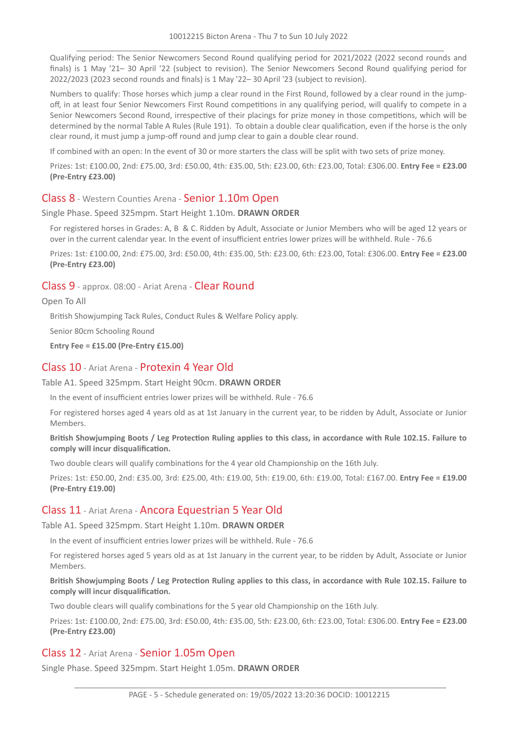Qualifying period: The Senior Newcomers Second Round qualifying period for 2021/2022 (2022 second rounds and finals) is 1 May '21– 30 April '22 (subject to revision). The Senior Newcomers Second Round qualifying period for 2022/2023 (2023 second rounds and finals) is 1 May '22– 30 April '23 (subject to revision).

Numbers to qualify: Those horses which jump a clear round in the First Round, followed by a clear round in the jumpoff, in at least four Senior Newcomers First Round competitions in any qualifying period, will qualify to compete in a Senior Newcomers Second Round, irrespective of their placings for prize money in those competitions, which will be determined by the normal Table A Rules (Rule 191). To obtain a double clear qualification, even if the horse is the only clear round, it must jump a jump-off round and jump clear to gain a double clear round.

If combined with an open: In the event of 30 or more starters the class will be split with two sets of prize money.

Prizes: 1st: £100.00, 2nd: £75.00, 3rd: £50.00, 4th: £35.00, 5th: £23.00, 6th: £23.00, Total: £306.00. **Entry Fee = £23.00 (Pre-Entry £23.00)**

#### Class 8 - Western Counties Arena - Senior 1.10m Open

Single Phase. Speed 325mpm. Start Height 1.10m. **DRAWN ORDER**

For registered horses in Grades: A, B & C. Ridden by Adult, Associate or Junior Members who will be aged 12 years or over in the current calendar year. In the event of insufficient entries lower prizes will be withheld. Rule - 76.6

Prizes: 1st: £100.00, 2nd: £75.00, 3rd: £50.00, 4th: £35.00, 5th: £23.00, 6th: £23.00, Total: £306.00. **Entry Fee = £23.00 (Pre-Entry £23.00)**

#### Class 9 - approx. 08:00 - Ariat Arena - Clear Round

Open To All

British Showjumping Tack Rules, Conduct Rules & Welfare Policy apply.

Senior 80cm Schooling Round

**Entry Fee = £15.00 (Pre-Entry £15.00)**

#### Class 10 - Ariat Arena - Protexin 4 Year Old

#### Table A1. Speed 325mpm. Start Height 90cm. **DRAWN ORDER**

In the event of insufficient entries lower prizes will be withheld. Rule - 76.6

For registered horses aged 4 years old as at 1st January in the current year, to be ridden by Adult, Associate or Junior Members.

British Showjumping Boots / Leg Protection Ruling applies to this class, in accordance with Rule 102.15. Failure to **comply will incur disqualification.**

Two double clears will qualify combinations for the 4 year old Championship on the 16th July.

Prizes: 1st: £50.00, 2nd: £35.00, 3rd: £25.00, 4th: £19.00, 5th: £19.00, 6th: £19.00, Total: £167.00. **Entry Fee = £19.00 (Pre-Entry £19.00)**

#### Class 11 - Ariat Arena - Ancora Equestrian 5 Year Old

#### Table A1. Speed 325mpm. Start Height 1.10m. **DRAWN ORDER**

In the event of insufficient entries lower prizes will be withheld. Rule - 76.6

For registered horses aged 5 years old as at 1st January in the current year, to be ridden by Adult, Associate or Junior Members.

British Showjumping Boots / Leg Protection Ruling applies to this class, in accordance with Rule 102.15. Failure to **comply will incur disqualification.**

Two double clears will qualify combinations for the 5 year old Championship on the 16th July.

Prizes: 1st: £100.00, 2nd: £75.00, 3rd: £50.00, 4th: £35.00, 5th: £23.00, 6th: £23.00, Total: £306.00. **Entry Fee = £23.00 (Pre-Entry £23.00)**

#### Class 12 - Ariat Arena - Senior 1.05m Open

Single Phase. Speed 325mpm. Start Height 1.05m. **DRAWN ORDER**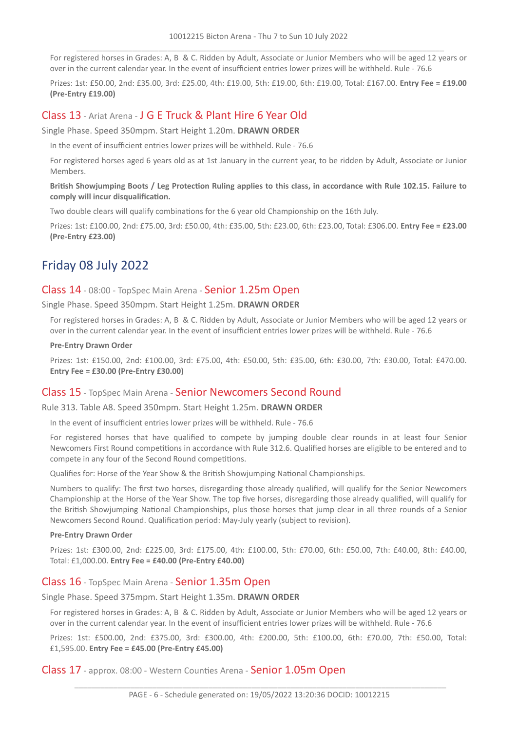For registered horses in Grades: A, B & C. Ridden by Adult, Associate or Junior Members who will be aged 12 years or over in the current calendar year. In the event of insufficient entries lower prizes will be withheld. Rule - 76.6

Prizes: 1st: £50.00, 2nd: £35.00, 3rd: £25.00, 4th: £19.00, 5th: £19.00, 6th: £19.00, Total: £167.00. **Entry Fee = £19.00 (Pre-Entry £19.00)**

## Class 13 - Ariat Arena - J G E Truck & Plant Hire 6 Year Old

Single Phase. Speed 350mpm. Start Height 1.20m. **DRAWN ORDER**

In the event of insufficient entries lower prizes will be withheld. Rule - 76.6

For registered horses aged 6 years old as at 1st January in the current year, to be ridden by Adult, Associate or Junior Members.

British Showjumping Boots / Leg Protection Ruling applies to this class, in accordance with Rule 102.15. Failure to **comply will incur disqualification.**

Two double clears will qualify combinations for the 6 year old Championship on the 16th July.

Prizes: 1st: £100.00, 2nd: £75.00, 3rd: £50.00, 4th: £35.00, 5th: £23.00, 6th: £23.00, Total: £306.00. **Entry Fee = £23.00 (Pre-Entry £23.00)**

# Friday 08 July 2022

#### Class 14 - 08:00 - TopSpec Main Arena - Senior 1.25m Open

Single Phase. Speed 350mpm. Start Height 1.25m. **DRAWN ORDER**

For registered horses in Grades: A, B & C. Ridden by Adult, Associate or Junior Members who will be aged 12 years or over in the current calendar year. In the event of insufficient entries lower prizes will be withheld. Rule - 76.6

#### **Pre-Entry Drawn Order**

Prizes: 1st: £150.00, 2nd: £100.00, 3rd: £75.00, 4th: £50.00, 5th: £35.00, 6th: £30.00, 7th: £30.00, Total: £470.00. **Entry Fee = £30.00 (Pre-Entry £30.00)**

## Class 15 - TopSpec Main Arena - Senior Newcomers Second Round

Rule 313. Table A8. Speed 350mpm. Start Height 1.25m. **DRAWN ORDER**

In the event of insufficient entries lower prizes will be withheld. Rule - 76.6

For registered horses that have qualified to compete by jumping double clear rounds in at least four Senior Newcomers First Round competitions in accordance with Rule 312.6. Qualified horses are eligible to be entered and to compete in any four of the Second Round competitions.

Qualifies for: Horse of the Year Show & the British Showjumping National Championships.

Numbers to qualify: The first two horses, disregarding those already qualified, will qualify for the Senior Newcomers Championship at the Horse of the Year Show. The top five horses, disregarding those already qualified, will qualify for the British Showjumping National Championships, plus those horses that jump clear in all three rounds of a Senior Newcomers Second Round. Qualification period: May-July yearly (subject to revision).

#### **Pre-Entry Drawn Order**

Prizes: 1st: £300.00, 2nd: £225.00, 3rd: £175.00, 4th: £100.00, 5th: £70.00, 6th: £50.00, 7th: £40.00, 8th: £40.00, Total: £1,000.00. **Entry Fee = £40.00 (Pre-Entry £40.00)**

## Class 16 - TopSpec Main Arena - Senior 1.35m Open

Single Phase. Speed 375mpm. Start Height 1.35m. **DRAWN ORDER**

For registered horses in Grades: A, B & C. Ridden by Adult, Associate or Junior Members who will be aged 12 years or over in the current calendar year. In the event of insufficient entries lower prizes will be withheld. Rule - 76.6

Prizes: 1st: £500.00, 2nd: £375.00, 3rd: £300.00, 4th: £200.00, 5th: £100.00, 6th: £70.00, 7th: £50.00, Total: £1,595.00. **Entry Fee = £45.00 (Pre-Entry £45.00)**

Class 17 - approx. 08:00 - Western Counties Arena - Senior 1.05m Open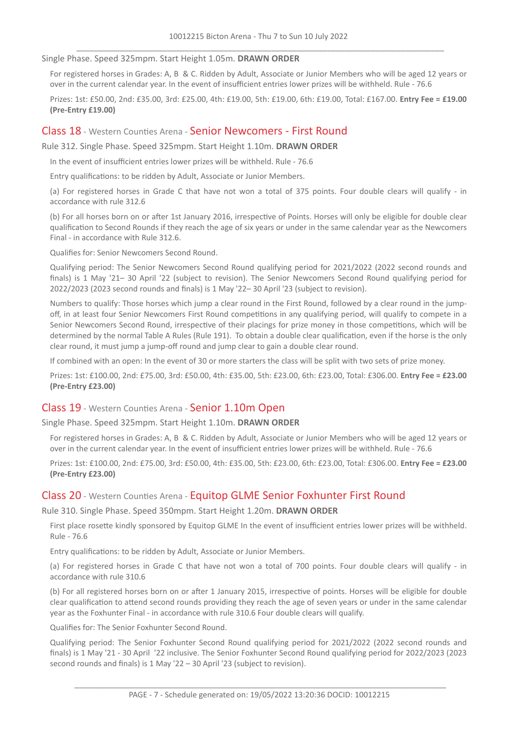#### Single Phase. Speed 325mpm. Start Height 1.05m. **DRAWN ORDER**

For registered horses in Grades: A, B & C. Ridden by Adult, Associate or Junior Members who will be aged 12 years or over in the current calendar year. In the event of insufficient entries lower prizes will be withheld. Rule - 76.6

Prizes: 1st: £50.00, 2nd: £35.00, 3rd: £25.00, 4th: £19.00, 5th: £19.00, 6th: £19.00, Total: £167.00. **Entry Fee = £19.00 (Pre-Entry £19.00)**

#### Class 18 - Western Counties Arena - Senior Newcomers - First Round

Rule 312. Single Phase. Speed 325mpm. Start Height 1.10m. **DRAWN ORDER**

In the event of insufficient entries lower prizes will be withheld. Rule - 76.6

Entry qualifications: to be ridden by Adult, Associate or Junior Members.

(a) For registered horses in Grade C that have not won a total of 375 points. Four double clears will qualify - in accordance with rule 312.6

(b) For all horses born on or after 1st January 2016, irrespective of Points. Horses will only be eligible for double clear qualification to Second Rounds if they reach the age of six years or under in the same calendar year as the Newcomers Final - in accordance with Rule 312.6.

Qualifies for: Senior Newcomers Second Round.

Qualifying period: The Senior Newcomers Second Round qualifying period for 2021/2022 (2022 second rounds and finals) is 1 May '21– 30 April '22 (subject to revision). The Senior Newcomers Second Round qualifying period for 2022/2023 (2023 second rounds and finals) is 1 May '22– 30 April '23 (subject to revision).

Numbers to qualify: Those horses which jump a clear round in the First Round, followed by a clear round in the jumpoff, in at least four Senior Newcomers First Round competitions in any qualifying period, will qualify to compete in a Senior Newcomers Second Round, irrespective of their placings for prize money in those competitions, which will be determined by the normal Table A Rules (Rule 191). To obtain a double clear qualification, even if the horse is the only clear round, it must jump a jump-off round and jump clear to gain a double clear round.

If combined with an open: In the event of 30 or more starters the class will be split with two sets of prize money.

Prizes: 1st: £100.00, 2nd: £75.00, 3rd: £50.00, 4th: £35.00, 5th: £23.00, 6th: £23.00, Total: £306.00. **Entry Fee = £23.00 (Pre-Entry £23.00)**

#### Class 19 - Western Counties Arena - Senior 1.10m Open

Single Phase. Speed 325mpm. Start Height 1.10m. **DRAWN ORDER**

For registered horses in Grades: A, B & C. Ridden by Adult, Associate or Junior Members who will be aged 12 years or over in the current calendar year. In the event of insufficient entries lower prizes will be withheld. Rule - 76.6

Prizes: 1st: £100.00, 2nd: £75.00, 3rd: £50.00, 4th: £35.00, 5th: £23.00, 6th: £23.00, Total: £306.00. **Entry Fee = £23.00 (Pre-Entry £23.00)**

#### Class 20 - Western Counties Arena - Equitop GLME Senior Foxhunter First Round

Rule 310. Single Phase. Speed 350mpm. Start Height 1.20m. **DRAWN ORDER**

First place rosette kindly sponsored by Equitop GLME In the event of insufficient entries lower prizes will be withheld. Rule - 76.6

Entry qualifications: to be ridden by Adult, Associate or Junior Members.

(a) For registered horses in Grade C that have not won a total of 700 points. Four double clears will qualify - in accordance with rule 310.6

(b) For all registered horses born on or after 1 January 2015, irrespective of points. Horses will be eligible for double clear qualification to attend second rounds providing they reach the age of seven years or under in the same calendar year as the Foxhunter Final - in accordance with rule 310.6 Four double clears will qualify.

Qualifies for: The Senior Foxhunter Second Round.

Qualifying period: The Senior Foxhunter Second Round qualifying period for 2021/2022 (2022 second rounds and finals) is 1 May '21 - 30 April '22 inclusive. The Senior Foxhunter Second Round qualifying period for 2022/2023 (2023 second rounds and finals) is 1 May '22 – 30 April '23 (subject to revision).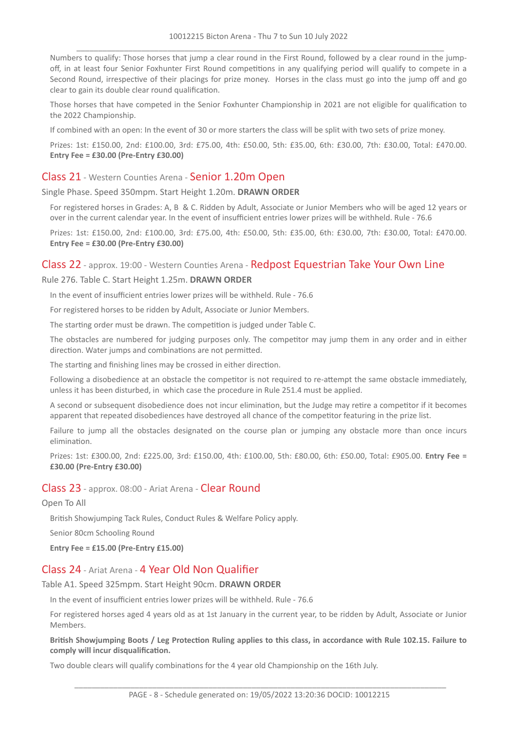Numbers to qualify: Those horses that jump a clear round in the First Round, followed by a clear round in the jumpoff, in at least four Senior Foxhunter First Round competitions in any qualifying period will qualify to compete in a Second Round, irrespective of their placings for prize money. Horses in the class must go into the jump off and go clear to gain its double clear round qualification.

Those horses that have competed in the Senior Foxhunter Championship in 2021 are not eligible for qualification to the 2022 Championship.

If combined with an open: In the event of 30 or more starters the class will be split with two sets of prize money.

Prizes: 1st: £150.00, 2nd: £100.00, 3rd: £75.00, 4th: £50.00, 5th: £35.00, 6th: £30.00, 7th: £30.00, Total: £470.00. **Entry Fee = £30.00 (Pre-Entry £30.00)**

## Class 21 - Western Counties Arena - Senior 1.20m Open

#### Single Phase. Speed 350mpm. Start Height 1.20m. **DRAWN ORDER**

For registered horses in Grades: A, B & C. Ridden by Adult, Associate or Junior Members who will be aged 12 years or over in the current calendar year. In the event of insufficient entries lower prizes will be withheld. Rule - 76.6

Prizes: 1st: £150.00, 2nd: £100.00, 3rd: £75.00, 4th: £50.00, 5th: £35.00, 6th: £30.00, 7th: £30.00, Total: £470.00. **Entry Fee = £30.00 (Pre-Entry £30.00)**

#### Class 22 - approx. 19:00 - Western Counties Arena - Redpost Equestrian Take Your Own Line

#### Rule 276. Table C. Start Height 1.25m. **DRAWN ORDER**

In the event of insufficient entries lower prizes will be withheld. Rule - 76.6

For registered horses to be ridden by Adult, Associate or Junior Members.

The starting order must be drawn. The competition is judged under Table C.

The obstacles are numbered for judging purposes only. The competitor may jump them in any order and in either direction. Water jumps and combinations are not permitted.

The starting and finishing lines may be crossed in either direction.

Following a disobedience at an obstacle the competitor is not required to re-attempt the same obstacle immediately, unless it has been disturbed, in which case the procedure in Rule 251.4 must be applied.

A second or subsequent disobedience does not incur elimination, but the Judge may retire a competitor if it becomes apparent that repeated disobediences have destroyed all chance of the competitor featuring in the prize list.

Failure to jump all the obstacles designated on the course plan or jumping any obstacle more than once incurs elimination.

Prizes: 1st: £300.00, 2nd: £225.00, 3rd: £150.00, 4th: £100.00, 5th: £80.00, 6th: £50.00, Total: £905.00. **Entry Fee = £30.00 (Pre-Entry £30.00)**

#### Class 23 - approx. 08:00 - Ariat Arena - Clear Round

Open To All

British Showjumping Tack Rules, Conduct Rules & Welfare Policy apply.

Senior 80cm Schooling Round

**Entry Fee = £15.00 (Pre-Entry £15.00)**

## Class 24 - Ariat Arena - 4 Year Old Non Qualifier

#### Table A1. Speed 325mpm. Start Height 90cm. **DRAWN ORDER**

In the event of insufficient entries lower prizes will be withheld. Rule - 76.6

For registered horses aged 4 years old as at 1st January in the current year, to be ridden by Adult, Associate or Junior Members.

#### British Showjumping Boots / Leg Protection Ruling applies to this class, in accordance with Rule 102.15. Failure to **comply will incur disqualification.**

Two double clears will qualify combinations for the 4 year old Championship on the 16th July.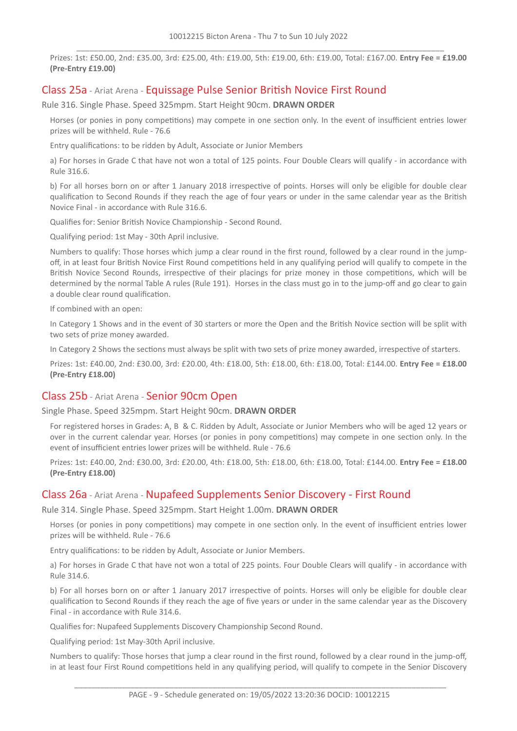Prizes: 1st: £50.00, 2nd: £35.00, 3rd: £25.00, 4th: £19.00, 5th: £19.00, 6th: £19.00, Total: £167.00. **Entry Fee = £19.00 (Pre-Entry £19.00)**

## Class 25a - Ariat Arena - Equissage Pulse Senior British Novice First Round

Rule 316. Single Phase. Speed 325mpm. Start Height 90cm. **DRAWN ORDER**

Horses (or ponies in pony competitions) may compete in one section only. In the event of insufficient entries lower prizes will be withheld. Rule - 76.6

Entry qualifications: to be ridden by Adult, Associate or Junior Members

a) For horses in Grade C that have not won a total of 125 points. Four Double Clears will qualify - in accordance with Rule 316.6.

b) For all horses born on or after 1 January 2018 irrespective of points. Horses will only be eligible for double clear qualification to Second Rounds if they reach the age of four years or under in the same calendar year as the British Novice Final - in accordance with Rule 316.6.

Qualifies for: Senior British Novice Championship - Second Round.

Qualifying period: 1st May - 30th April inclusive.

Numbers to qualify: Those horses which jump a clear round in the first round, followed by a clear round in the jumpoff, in at least four British Novice First Round competitions held in any qualifying period will qualify to compete in the British Novice Second Rounds, irrespective of their placings for prize money in those competitions, which will be determined by the normal Table A rules (Rule 191). Horses in the class must go in to the jump-off and go clear to gain a double clear round qualification.

If combined with an open:

In Category 1 Shows and in the event of 30 starters or more the Open and the British Novice section will be split with two sets of prize money awarded.

In Category 2 Shows the sections must always be split with two sets of prize money awarded, irrespective of starters.

Prizes: 1st: £40.00, 2nd: £30.00, 3rd: £20.00, 4th: £18.00, 5th: £18.00, 6th: £18.00, Total: £144.00. **Entry Fee = £18.00 (Pre-Entry £18.00)**

## Class 25b - Ariat Arena - Senior 90cm Open

Single Phase. Speed 325mpm. Start Height 90cm. **DRAWN ORDER**

For registered horses in Grades: A, B & C. Ridden by Adult, Associate or Junior Members who will be aged 12 years or over in the current calendar year. Horses (or ponies in pony competitions) may compete in one section only. In the event of insufficient entries lower prizes will be withheld. Rule - 76.6

Prizes: 1st: £40.00, 2nd: £30.00, 3rd: £20.00, 4th: £18.00, 5th: £18.00, 6th: £18.00, Total: £144.00. **Entry Fee = £18.00 (Pre-Entry £18.00)**

#### Class 26a - Ariat Arena - Nupafeed Supplements Senior Discovery - First Round

Rule 314. Single Phase. Speed 325mpm. Start Height 1.00m. **DRAWN ORDER**

Horses (or ponies in pony competitions) may compete in one section only. In the event of insufficient entries lower prizes will be withheld. Rule - 76.6

Entry qualifications: to be ridden by Adult, Associate or Junior Members.

a) For horses in Grade C that have not won a total of 225 points. Four Double Clears will qualify - in accordance with Rule 314.6.

b) For all horses born on or after 1 January 2017 irrespective of points. Horses will only be eligible for double clear qualification to Second Rounds if they reach the age of five years or under in the same calendar year as the Discovery Final - in accordance with Rule 314.6.

Qualifies for: Nupafeed Supplements Discovery Championship Second Round.

Qualifying period: 1st May-30th April inclusive.

Numbers to qualify: Those horses that jump a clear round in the first round, followed by a clear round in the jump-off, in at least four First Round competitions held in any qualifying period, will qualify to compete in the Senior Discovery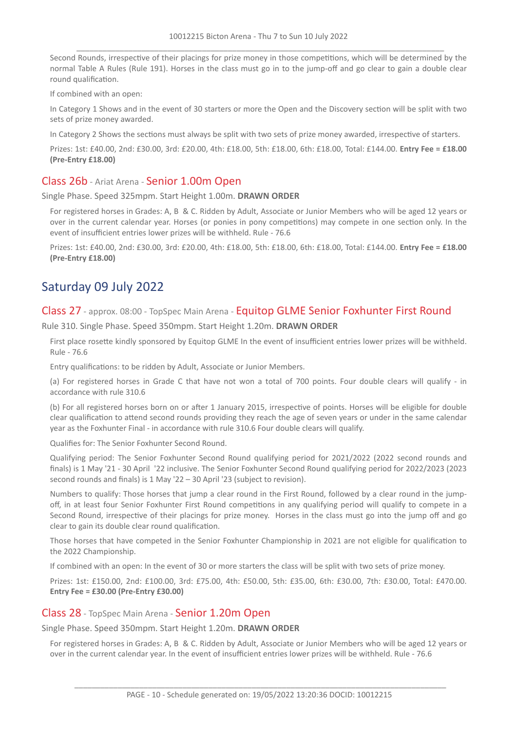Second Rounds, irrespective of their placings for prize money in those competitions, which will be determined by the normal Table A Rules (Rule 191). Horses in the class must go in to the jump-off and go clear to gain a double clear round qualification.

If combined with an open:

In Category 1 Shows and in the event of 30 starters or more the Open and the Discovery section will be split with two sets of prize money awarded.

In Category 2 Shows the sections must always be split with two sets of prize money awarded, irrespective of starters.

Prizes: 1st: £40.00, 2nd: £30.00, 3rd: £20.00, 4th: £18.00, 5th: £18.00, 6th: £18.00, Total: £144.00. **Entry Fee = £18.00 (Pre-Entry £18.00)**

#### Class 26b - Ariat Arena - Senior 1.00m Open

Single Phase. Speed 325mpm. Start Height 1.00m. **DRAWN ORDER**

For registered horses in Grades: A, B & C. Ridden by Adult, Associate or Junior Members who will be aged 12 years or over in the current calendar year. Horses (or ponies in pony competitions) may compete in one section only. In the event of insufficient entries lower prizes will be withheld. Rule - 76.6

Prizes: 1st: £40.00, 2nd: £30.00, 3rd: £20.00, 4th: £18.00, 5th: £18.00, 6th: £18.00, Total: £144.00. **Entry Fee = £18.00 (Pre-Entry £18.00)**

# Saturday 09 July 2022

#### Class 27 - approx. 08:00 - TopSpec Main Arena - Equitop GLME Senior Foxhunter First Round

Rule 310. Single Phase. Speed 350mpm. Start Height 1.20m. **DRAWN ORDER**

First place rosette kindly sponsored by Equitop GLME In the event of insufficient entries lower prizes will be withheld. Rule - 76.6

Entry qualifications: to be ridden by Adult, Associate or Junior Members.

(a) For registered horses in Grade C that have not won a total of 700 points. Four double clears will qualify - in accordance with rule 310.6

(b) For all registered horses born on or after 1 January 2015, irrespective of points. Horses will be eligible for double clear qualification to attend second rounds providing they reach the age of seven years or under in the same calendar year as the Foxhunter Final - in accordance with rule 310.6 Four double clears will qualify.

Qualifies for: The Senior Foxhunter Second Round.

Qualifying period: The Senior Foxhunter Second Round qualifying period for 2021/2022 (2022 second rounds and finals) is 1 May '21 - 30 April '22 inclusive. The Senior Foxhunter Second Round qualifying period for 2022/2023 (2023 second rounds and finals) is 1 May '22 – 30 April '23 (subject to revision).

Numbers to qualify: Those horses that jump a clear round in the First Round, followed by a clear round in the jumpoff, in at least four Senior Foxhunter First Round competitions in any qualifying period will qualify to compete in a Second Round, irrespective of their placings for prize money. Horses in the class must go into the jump off and go clear to gain its double clear round qualification.

Those horses that have competed in the Senior Foxhunter Championship in 2021 are not eligible for qualification to the 2022 Championship.

If combined with an open: In the event of 30 or more starters the class will be split with two sets of prize money.

Prizes: 1st: £150.00, 2nd: £100.00, 3rd: £75.00, 4th: £50.00, 5th: £35.00, 6th: £30.00, 7th: £30.00, Total: £470.00. **Entry Fee = £30.00 (Pre-Entry £30.00)**

#### Class 28 - TopSpec Main Arena - Senior 1.20m Open

Single Phase. Speed 350mpm. Start Height 1.20m. **DRAWN ORDER**

For registered horses in Grades: A, B & C. Ridden by Adult, Associate or Junior Members who will be aged 12 years or over in the current calendar year. In the event of insufficient entries lower prizes will be withheld. Rule - 76.6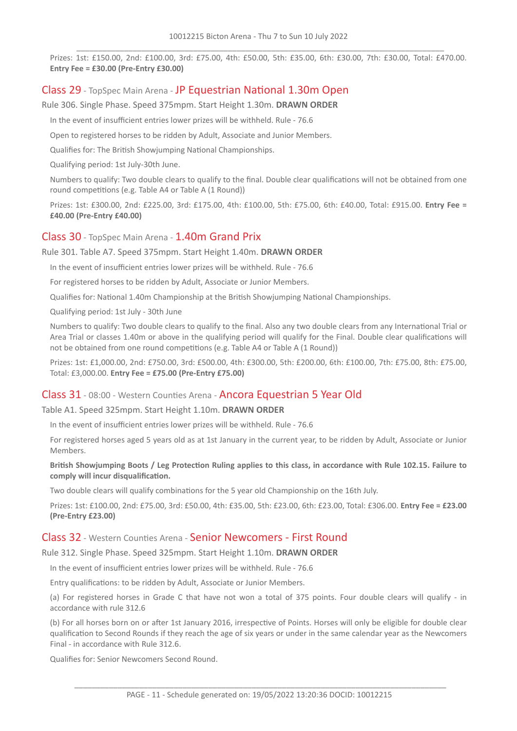Prizes: 1st: £150.00, 2nd: £100.00, 3rd: £75.00, 4th: £50.00, 5th: £35.00, 6th: £30.00, 7th: £30.00, Total: £470.00. **Entry Fee = £30.00 (Pre-Entry £30.00)**

## Class 29 - TopSpec Main Arena - JP Equestrian National 1.30m Open

Rule 306. Single Phase. Speed 375mpm. Start Height 1.30m. **DRAWN ORDER**

In the event of insufficient entries lower prizes will be withheld. Rule - 76.6

Open to registered horses to be ridden by Adult, Associate and Junior Members.

Qualifies for: The British Showjumping National Championships.

Qualifying period: 1st July-30th June.

Numbers to qualify: Two double clears to qualify to the final. Double clear qualifications will not be obtained from one round competitions (e.g. Table A4 or Table A (1 Round))

Prizes: 1st: £300.00, 2nd: £225.00, 3rd: £175.00, 4th: £100.00, 5th: £75.00, 6th: £40.00, Total: £915.00. **Entry Fee = £40.00 (Pre-Entry £40.00)**

#### Class 30 - TopSpec Main Arena - 1.40m Grand Prix

Rule 301. Table A7. Speed 375mpm. Start Height 1.40m. **DRAWN ORDER**

In the event of insufficient entries lower prizes will be withheld. Rule - 76.6

For registered horses to be ridden by Adult, Associate or Junior Members.

Qualifies for: National 1.40m Championship at the British Showjumping National Championships.

Qualifying period: 1st July - 30th June

Numbers to qualify: Two double clears to qualify to the final. Also any two double clears from any International Trial or Area Trial or classes 1.40m or above in the qualifying period will qualify for the Final. Double clear qualifications will not be obtained from one round competitions (e.g. Table A4 or Table A (1 Round))

Prizes: 1st: £1,000.00, 2nd: £750.00, 3rd: £500.00, 4th: £300.00, 5th: £200.00, 6th: £100.00, 7th: £75.00, 8th: £75.00, Total: £3,000.00. **Entry Fee = £75.00 (Pre-Entry £75.00)**

## Class 31 - 08:00 - Western Counties Arena - Ancora Equestrian 5 Year Old

Table A1. Speed 325mpm. Start Height 1.10m. **DRAWN ORDER**

In the event of insufficient entries lower prizes will be withheld. Rule - 76.6

For registered horses aged 5 years old as at 1st January in the current year, to be ridden by Adult, Associate or Junior Members.

British Showjumping Boots / Leg Protection Ruling applies to this class, in accordance with Rule 102.15. Failure to **comply will incur disqualification.**

Two double clears will qualify combinations for the 5 year old Championship on the 16th July.

Prizes: 1st: £100.00, 2nd: £75.00, 3rd: £50.00, 4th: £35.00, 5th: £23.00, 6th: £23.00, Total: £306.00. **Entry Fee = £23.00 (Pre-Entry £23.00)**

#### Class 32 - Western Counties Arena - Senior Newcomers - First Round

Rule 312. Single Phase. Speed 325mpm. Start Height 1.10m. **DRAWN ORDER**

In the event of insufficient entries lower prizes will be withheld. Rule - 76.6

Entry qualifications: to be ridden by Adult, Associate or Junior Members.

(a) For registered horses in Grade C that have not won a total of 375 points. Four double clears will qualify - in accordance with rule 312.6

(b) For all horses born on or after 1st January 2016, irrespective of Points. Horses will only be eligible for double clear qualification to Second Rounds if they reach the age of six years or under in the same calendar year as the Newcomers Final - in accordance with Rule 312.6.

Qualifies for: Senior Newcomers Second Round.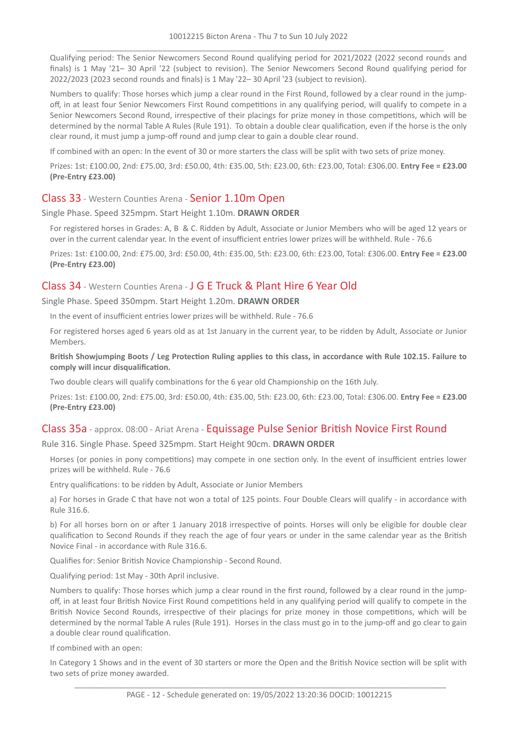Qualifying period: The Senior Newcomers Second Round qualifying period for 2021/2022 (2022 second rounds and finals) is 1 May '21– 30 April '22 (subject to revision). The Senior Newcomers Second Round qualifying period for 2022/2023 (2023 second rounds and finals) is 1 May '22– 30 April '23 (subject to revision).

Numbers to qualify: Those horses which jump a clear round in the First Round, followed by a clear round in the jumpoff, in at least four Senior Newcomers First Round competitions in any qualifying period, will qualify to compete in a Senior Newcomers Second Round, irrespective of their placings for prize money in those competitions, which will be determined by the normal Table A Rules (Rule 191). To obtain a double clear qualification, even if the horse is the only clear round, it must jump a jump-off round and jump clear to gain a double clear round.

If combined with an open: In the event of 30 or more starters the class will be split with two sets of prize money.

Prizes: 1st: £100.00, 2nd: £75.00, 3rd: £50.00, 4th: £35.00, 5th: £23.00, 6th: £23.00, Total: £306.00. **Entry Fee = £23.00 (Pre-Entry £23.00)**

## Class 33 - Western Counties Arena - Senior 1.10m Open

Single Phase. Speed 325mpm. Start Height 1.10m. **DRAWN ORDER**

For registered horses in Grades: A, B & C. Ridden by Adult, Associate or Junior Members who will be aged 12 years or over in the current calendar year. In the event of insufficient entries lower prizes will be withheld. Rule - 76.6

Prizes: 1st: £100.00, 2nd: £75.00, 3rd: £50.00, 4th: £35.00, 5th: £23.00, 6th: £23.00, Total: £306.00. **Entry Fee = £23.00 (Pre-Entry £23.00)**

## Class 34 - Western Counties Arena - J G E Truck & Plant Hire 6 Year Old

Single Phase. Speed 350mpm. Start Height 1.20m. **DRAWN ORDER**

In the event of insufficient entries lower prizes will be withheld. Rule - 76.6

For registered horses aged 6 years old as at 1st January in the current year, to be ridden by Adult, Associate or Junior Members.

British Showjumping Boots / Leg Protection Ruling applies to this class, in accordance with Rule 102.15. Failure to **comply will incur disqualification.**

Two double clears will qualify combinations for the 6 year old Championship on the 16th July.

Prizes: 1st: £100.00, 2nd: £75.00, 3rd: £50.00, 4th: £35.00, 5th: £23.00, 6th: £23.00, Total: £306.00. **Entry Fee = £23.00 (Pre-Entry £23.00)**

## Class 35a - approx. 08:00 - Ariat Arena - Equissage Pulse Senior British Novice First Round

Rule 316. Single Phase. Speed 325mpm. Start Height 90cm. **DRAWN ORDER**

Horses (or ponies in pony competitions) may compete in one section only. In the event of insufficient entries lower prizes will be withheld. Rule - 76.6

Entry qualifications: to be ridden by Adult, Associate or Junior Members

a) For horses in Grade C that have not won a total of 125 points. Four Double Clears will qualify - in accordance with Rule 316.6.

b) For all horses born on or after 1 January 2018 irrespective of points. Horses will only be eligible for double clear qualification to Second Rounds if they reach the age of four years or under in the same calendar year as the British Novice Final - in accordance with Rule 316.6.

Qualifies for: Senior British Novice Championship - Second Round.

Qualifying period: 1st May - 30th April inclusive.

Numbers to qualify: Those horses which jump a clear round in the first round, followed by a clear round in the jumpoff, in at least four British Novice First Round competitions held in any qualifying period will qualify to compete in the British Novice Second Rounds, irrespective of their placings for prize money in those competitions, which will be determined by the normal Table A rules (Rule 191). Horses in the class must go in to the jump-off and go clear to gain a double clear round qualification.

If combined with an open:

In Category 1 Shows and in the event of 30 starters or more the Open and the British Novice section will be split with two sets of prize money awarded.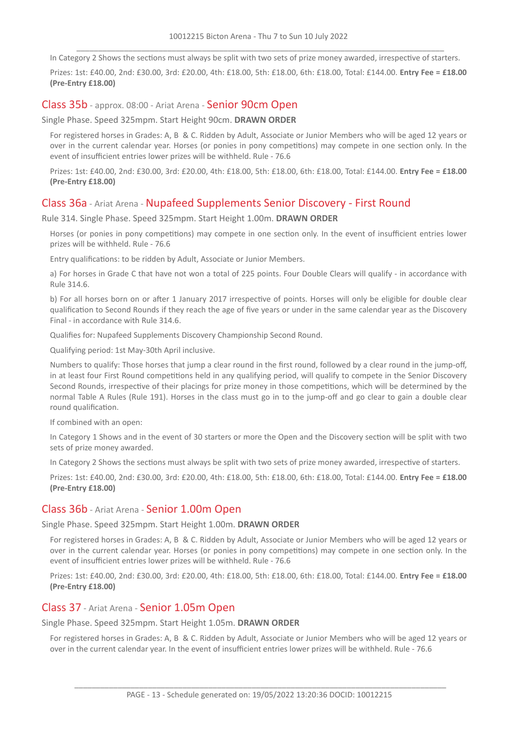In Category 2 Shows the sections must always be split with two sets of prize money awarded, irrespective of starters.

Prizes: 1st: £40.00, 2nd: £30.00, 3rd: £20.00, 4th: £18.00, 5th: £18.00, 6th: £18.00, Total: £144.00. **Entry Fee = £18.00 (Pre-Entry £18.00)**

#### Class 35b - approx. 08:00 - Ariat Arena - Senior 90cm Open

#### Single Phase. Speed 325mpm. Start Height 90cm. **DRAWN ORDER**

For registered horses in Grades: A, B & C. Ridden by Adult, Associate or Junior Members who will be aged 12 years or over in the current calendar year. Horses (or ponies in pony competitions) may compete in one section only. In the event of insufficient entries lower prizes will be withheld. Rule - 76.6

Prizes: 1st: £40.00, 2nd: £30.00, 3rd: £20.00, 4th: £18.00, 5th: £18.00, 6th: £18.00, Total: £144.00. **Entry Fee = £18.00 (Pre-Entry £18.00)**

#### Class 36a - Ariat Arena - Nupafeed Supplements Senior Discovery - First Round

Rule 314. Single Phase. Speed 325mpm. Start Height 1.00m. **DRAWN ORDER**

Horses (or ponies in pony competitions) may compete in one section only. In the event of insufficient entries lower prizes will be withheld. Rule - 76.6

Entry qualifications: to be ridden by Adult, Associate or Junior Members.

a) For horses in Grade C that have not won a total of 225 points. Four Double Clears will qualify - in accordance with Rule 314.6.

b) For all horses born on or after 1 January 2017 irrespective of points. Horses will only be eligible for double clear qualification to Second Rounds if they reach the age of five years or under in the same calendar year as the Discovery Final - in accordance with Rule 314.6.

Qualifies for: Nupafeed Supplements Discovery Championship Second Round.

Qualifying period: 1st May-30th April inclusive.

Numbers to qualify: Those horses that jump a clear round in the first round, followed by a clear round in the jump-off, in at least four First Round competitions held in any qualifying period, will qualify to compete in the Senior Discovery Second Rounds, irrespective of their placings for prize money in those competitions, which will be determined by the normal Table A Rules (Rule 191). Horses in the class must go in to the jump-off and go clear to gain a double clear round qualification.

If combined with an open:

In Category 1 Shows and in the event of 30 starters or more the Open and the Discovery section will be split with two sets of prize money awarded.

In Category 2 Shows the sections must always be split with two sets of prize money awarded, irrespective of starters.

Prizes: 1st: £40.00, 2nd: £30.00, 3rd: £20.00, 4th: £18.00, 5th: £18.00, 6th: £18.00, Total: £144.00. **Entry Fee = £18.00 (Pre-Entry £18.00)**

#### Class 36b - Ariat Arena - Senior 1.00m Open

Single Phase. Speed 325mpm. Start Height 1.00m. **DRAWN ORDER**

For registered horses in Grades: A, B & C. Ridden by Adult, Associate or Junior Members who will be aged 12 years or over in the current calendar year. Horses (or ponies in pony competitions) may compete in one section only. In the event of insufficient entries lower prizes will be withheld. Rule - 76.6

Prizes: 1st: £40.00, 2nd: £30.00, 3rd: £20.00, 4th: £18.00, 5th: £18.00, 6th: £18.00, Total: £144.00. **Entry Fee = £18.00 (Pre-Entry £18.00)**

#### Class 37 - Ariat Arena - Senior 1.05m Open

Single Phase. Speed 325mpm. Start Height 1.05m. **DRAWN ORDER**

For registered horses in Grades: A, B & C. Ridden by Adult, Associate or Junior Members who will be aged 12 years or over in the current calendar year. In the event of insufficient entries lower prizes will be withheld. Rule - 76.6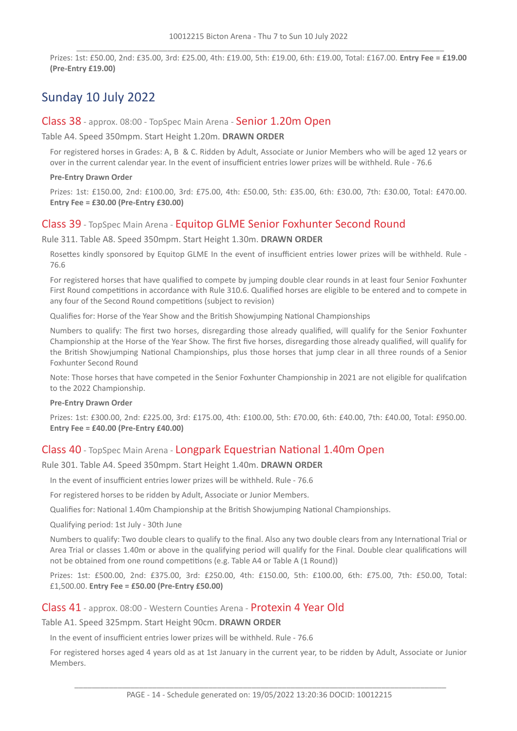Prizes: 1st: £50.00, 2nd: £35.00, 3rd: £25.00, 4th: £19.00, 5th: £19.00, 6th: £19.00, Total: £167.00. **Entry Fee = £19.00 (Pre-Entry £19.00)**

# Sunday 10 July 2022

#### Class 38 - approx. 08:00 - TopSpec Main Arena - Senior 1.20m Open

Table A4. Speed 350mpm. Start Height 1.20m. **DRAWN ORDER**

For registered horses in Grades: A, B & C. Ridden by Adult, Associate or Junior Members who will be aged 12 years or over in the current calendar year. In the event of insufficient entries lower prizes will be withheld. Rule - 76.6

#### **Pre-Entry Drawn Order**

Prizes: 1st: £150.00, 2nd: £100.00, 3rd: £75.00, 4th: £50.00, 5th: £35.00, 6th: £30.00, 7th: £30.00, Total: £470.00. **Entry Fee = £30.00 (Pre-Entry £30.00)**

## Class 39 - TopSpec Main Arena - Equitop GLME Senior Foxhunter Second Round

Rule 311. Table A8. Speed 350mpm. Start Height 1.30m. **DRAWN ORDER**

Rosettes kindly sponsored by Equitop GLME In the event of insufficient entries lower prizes will be withheld. Rule - 76.6

For registered horses that have qualified to compete by jumping double clear rounds in at least four Senior Foxhunter First Round competitions in accordance with Rule 310.6. Qualified horses are eligible to be entered and to compete in any four of the Second Round competitions (subject to revision)

Qualifies for: Horse of the Year Show and the British Showjumping National Championships

Numbers to qualify: The first two horses, disregarding those already qualified, will qualify for the Senior Foxhunter Championship at the Horse of the Year Show. The first five horses, disregarding those already qualified, will qualify for the British Showjumping National Championships, plus those horses that jump clear in all three rounds of a Senior Foxhunter Second Round

Note: Those horses that have competed in the Senior Foxhunter Championship in 2021 are not eligible for qualifcation to the 2022 Championship.

#### **Pre-Entry Drawn Order**

Prizes: 1st: £300.00, 2nd: £225.00, 3rd: £175.00, 4th: £100.00, 5th: £70.00, 6th: £40.00, 7th: £40.00, Total: £950.00. **Entry Fee = £40.00 (Pre-Entry £40.00)**

## Class 40 - TopSpec Main Arena - Longpark Equestrian National 1.40m Open

#### Rule 301. Table A4. Speed 350mpm. Start Height 1.40m. **DRAWN ORDER**

In the event of insufficient entries lower prizes will be withheld. Rule - 76.6

For registered horses to be ridden by Adult, Associate or Junior Members.

Qualifies for: National 1.40m Championship at the British Showjumping National Championships.

Qualifying period: 1st July - 30th June

Numbers to qualify: Two double clears to qualify to the final. Also any two double clears from any International Trial or Area Trial or classes 1.40m or above in the qualifying period will qualify for the Final. Double clear qualifications will not be obtained from one round competitions (e.g. Table A4 or Table A (1 Round))

Prizes: 1st: £500.00, 2nd: £375.00, 3rd: £250.00, 4th: £150.00, 5th: £100.00, 6th: £75.00, 7th: £50.00, Total: £1,500.00. **Entry Fee = £50.00 (Pre-Entry £50.00)**

#### Class 41 - approx. 08:00 - Western Counties Arena - Protexin 4 Year Old

#### Table A1. Speed 325mpm. Start Height 90cm. **DRAWN ORDER**

In the event of insufficient entries lower prizes will be withheld. Rule - 76.6

For registered horses aged 4 years old as at 1st January in the current year, to be ridden by Adult, Associate or Junior Members.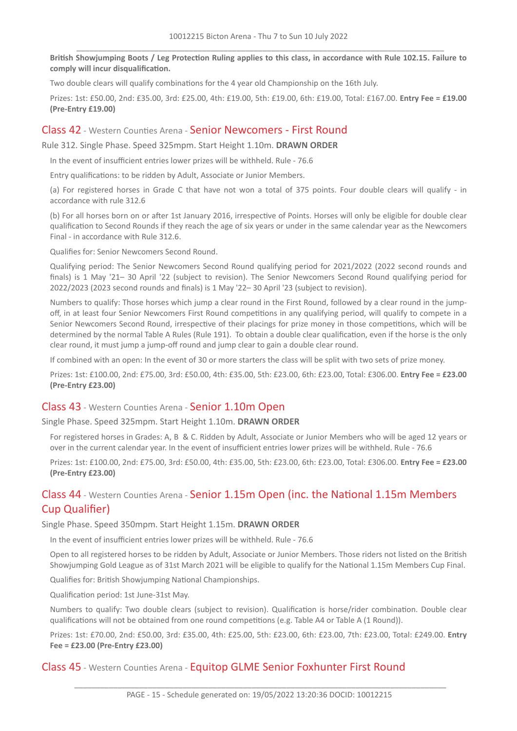British Showjumping Boots / Leg Protection Ruling applies to this class, in accordance with Rule 102.15. Failure to **comply will incur disqualification.**

Two double clears will qualify combinations for the 4 year old Championship on the 16th July.

Prizes: 1st: £50.00, 2nd: £35.00, 3rd: £25.00, 4th: £19.00, 5th: £19.00, 6th: £19.00, Total: £167.00. **Entry Fee = £19.00 (Pre-Entry £19.00)**

#### Class 42 - Western Counties Arena - Senior Newcomers - First Round

Rule 312. Single Phase. Speed 325mpm. Start Height 1.10m. **DRAWN ORDER**

In the event of insufficient entries lower prizes will be withheld. Rule - 76.6

Entry qualifications: to be ridden by Adult, Associate or Junior Members.

(a) For registered horses in Grade C that have not won a total of 375 points. Four double clears will qualify - in accordance with rule 312.6

(b) For all horses born on or after 1st January 2016, irrespective of Points. Horses will only be eligible for double clear qualification to Second Rounds if they reach the age of six years or under in the same calendar year as the Newcomers Final - in accordance with Rule 312.6.

Qualifies for: Senior Newcomers Second Round.

Qualifying period: The Senior Newcomers Second Round qualifying period for 2021/2022 (2022 second rounds and finals) is 1 May '21– 30 April '22 (subject to revision). The Senior Newcomers Second Round qualifying period for 2022/2023 (2023 second rounds and finals) is 1 May '22– 30 April '23 (subject to revision).

Numbers to qualify: Those horses which jump a clear round in the First Round, followed by a clear round in the jumpoff, in at least four Senior Newcomers First Round competitions in any qualifying period, will qualify to compete in a Senior Newcomers Second Round, irrespective of their placings for prize money in those competitions, which will be determined by the normal Table A Rules (Rule 191). To obtain a double clear qualification, even if the horse is the only clear round, it must jump a jump-off round and jump clear to gain a double clear round.

If combined with an open: In the event of 30 or more starters the class will be split with two sets of prize money.

Prizes: 1st: £100.00, 2nd: £75.00, 3rd: £50.00, 4th: £35.00, 5th: £23.00, 6th: £23.00, Total: £306.00. **Entry Fee = £23.00 (Pre-Entry £23.00)**

## Class 43 - Western Counties Arena - Senior 1.10m Open

Single Phase. Speed 325mpm. Start Height 1.10m. **DRAWN ORDER**

For registered horses in Grades: A, B & C. Ridden by Adult, Associate or Junior Members who will be aged 12 years or over in the current calendar year. In the event of insufficient entries lower prizes will be withheld. Rule - 76.6

Prizes: 1st: £100.00, 2nd: £75.00, 3rd: £50.00, 4th: £35.00, 5th: £23.00, 6th: £23.00, Total: £306.00. **Entry Fee = £23.00 (Pre-Entry £23.00)**

## Class 44 - Western Counties Arena - Senior 1.15m Open (inc. the National 1.15m Members Cup Qualifier)

#### Single Phase. Speed 350mpm. Start Height 1.15m. **DRAWN ORDER**

In the event of insufficient entries lower prizes will be withheld. Rule - 76.6

Open to all registered horses to be ridden by Adult, Associate or Junior Members. Those riders not listed on the British Showjumping Gold League as of 31st March 2021 will be eligible to qualify for the National 1.15m Members Cup Final.

Qualifies for: British Showjumping National Championships.

Qualification period: 1st June-31st May.

Numbers to qualify: Two double clears (subject to revision). Qualification is horse/rider combination. Double clear qualifications will not be obtained from one round competitions (e.g. Table A4 or Table A (1 Round)).

Prizes: 1st: £70.00, 2nd: £50.00, 3rd: £35.00, 4th: £25.00, 5th: £23.00, 6th: £23.00, 7th: £23.00, Total: £249.00. **Entry Fee = £23.00 (Pre-Entry £23.00)**

## Class 45 - Western Counties Arena - Equitop GLME Senior Foxhunter First Round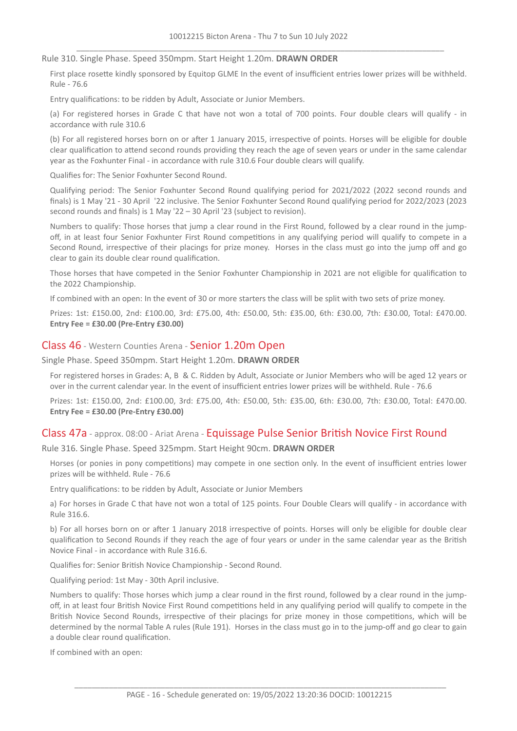Rule 310. Single Phase. Speed 350mpm. Start Height 1.20m. **DRAWN ORDER**

First place rosette kindly sponsored by Equitop GLME In the event of insufficient entries lower prizes will be withheld. Rule - 76.6

Entry qualifications: to be ridden by Adult, Associate or Junior Members.

(a) For registered horses in Grade C that have not won a total of 700 points. Four double clears will qualify - in accordance with rule 310.6

(b) For all registered horses born on or after 1 January 2015, irrespective of points. Horses will be eligible for double clear qualification to attend second rounds providing they reach the age of seven years or under in the same calendar year as the Foxhunter Final - in accordance with rule 310.6 Four double clears will qualify.

Qualifies for: The Senior Foxhunter Second Round.

Qualifying period: The Senior Foxhunter Second Round qualifying period for 2021/2022 (2022 second rounds and finals) is 1 May '21 - 30 April '22 inclusive. The Senior Foxhunter Second Round qualifying period for 2022/2023 (2023 second rounds and finals) is 1 May '22 – 30 April '23 (subject to revision).

Numbers to qualify: Those horses that jump a clear round in the First Round, followed by a clear round in the jumpoff, in at least four Senior Foxhunter First Round competitions in any qualifying period will qualify to compete in a Second Round, irrespective of their placings for prize money. Horses in the class must go into the jump off and go clear to gain its double clear round qualification.

Those horses that have competed in the Senior Foxhunter Championship in 2021 are not eligible for qualification to the 2022 Championship.

If combined with an open: In the event of 30 or more starters the class will be split with two sets of prize money.

Prizes: 1st: £150.00, 2nd: £100.00, 3rd: £75.00, 4th: £50.00, 5th: £35.00, 6th: £30.00, 7th: £30.00, Total: £470.00. **Entry Fee = £30.00 (Pre-Entry £30.00)**

#### Class 46 - Western Counties Arena - Senior 1.20m Open

Single Phase. Speed 350mpm. Start Height 1.20m. **DRAWN ORDER**

For registered horses in Grades: A, B & C. Ridden by Adult, Associate or Junior Members who will be aged 12 years or over in the current calendar year. In the event of insufficient entries lower prizes will be withheld. Rule - 76.6

Prizes: 1st: £150.00, 2nd: £100.00, 3rd: £75.00, 4th: £50.00, 5th: £35.00, 6th: £30.00, 7th: £30.00, Total: £470.00. **Entry Fee = £30.00 (Pre-Entry £30.00)**

#### Class 47a - approx. 08:00 - Ariat Arena - Equissage Pulse Senior British Novice First Round

Rule 316. Single Phase. Speed 325mpm. Start Height 90cm. **DRAWN ORDER**

Horses (or ponies in pony competitions) may compete in one section only. In the event of insufficient entries lower prizes will be withheld. Rule - 76.6

Entry qualifications: to be ridden by Adult, Associate or Junior Members

a) For horses in Grade C that have not won a total of 125 points. Four Double Clears will qualify - in accordance with Rule 316.6.

b) For all horses born on or after 1 January 2018 irrespective of points. Horses will only be eligible for double clear qualification to Second Rounds if they reach the age of four years or under in the same calendar year as the British Novice Final - in accordance with Rule 316.6.

Qualifies for: Senior British Novice Championship - Second Round.

Qualifying period: 1st May - 30th April inclusive.

Numbers to qualify: Those horses which jump a clear round in the first round, followed by a clear round in the jumpoff, in at least four British Novice First Round competitions held in any qualifying period will qualify to compete in the British Novice Second Rounds, irrespective of their placings for prize money in those competitions, which will be determined by the normal Table A rules (Rule 191). Horses in the class must go in to the jump-off and go clear to gain a double clear round qualification.

If combined with an open: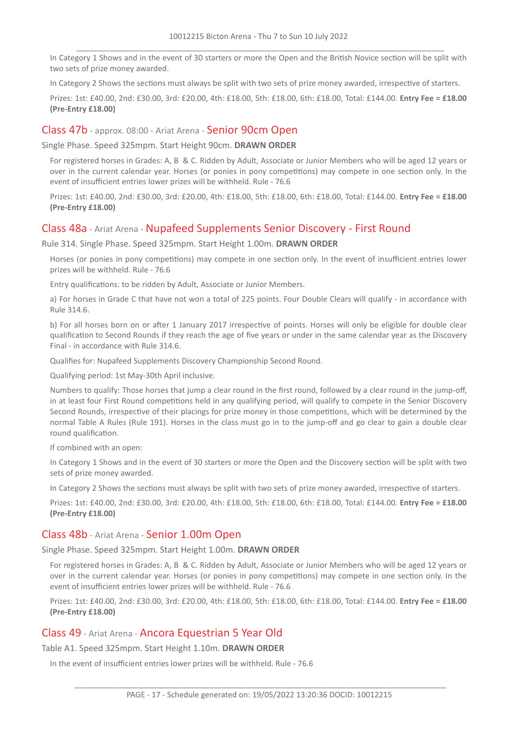In Category 1 Shows and in the event of 30 starters or more the Open and the British Novice section will be split with two sets of prize money awarded.

In Category 2 Shows the sections must always be split with two sets of prize money awarded, irrespective of starters.

Prizes: 1st: £40.00, 2nd: £30.00, 3rd: £20.00, 4th: £18.00, 5th: £18.00, 6th: £18.00, Total: £144.00. **Entry Fee = £18.00 (Pre-Entry £18.00)**

#### Class 47b - approx. 08:00 - Ariat Arena - Senior 90cm Open

Single Phase. Speed 325mpm. Start Height 90cm. **DRAWN ORDER**

For registered horses in Grades: A, B & C. Ridden by Adult, Associate or Junior Members who will be aged 12 years or over in the current calendar year. Horses (or ponies in pony competitions) may compete in one section only. In the event of insufficient entries lower prizes will be withheld. Rule - 76.6

Prizes: 1st: £40.00, 2nd: £30.00, 3rd: £20.00, 4th: £18.00, 5th: £18.00, 6th: £18.00, Total: £144.00. **Entry Fee = £18.00 (Pre-Entry £18.00)**

#### Class 48a - Ariat Arena - Nupafeed Supplements Senior Discovery - First Round

Rule 314. Single Phase. Speed 325mpm. Start Height 1.00m. **DRAWN ORDER**

Horses (or ponies in pony competitions) may compete in one section only. In the event of insufficient entries lower prizes will be withheld. Rule - 76.6

Entry qualifications: to be ridden by Adult, Associate or Junior Members.

a) For horses in Grade C that have not won a total of 225 points. Four Double Clears will qualify - in accordance with Rule 314.6.

b) For all horses born on or after 1 January 2017 irrespective of points. Horses will only be eligible for double clear qualification to Second Rounds if they reach the age of five years or under in the same calendar year as the Discovery Final - in accordance with Rule 314.6.

Qualifies for: Nupafeed Supplements Discovery Championship Second Round.

Qualifying period: 1st May-30th April inclusive.

Numbers to qualify: Those horses that jump a clear round in the first round, followed by a clear round in the jump-off, in at least four First Round competitions held in any qualifying period, will qualify to compete in the Senior Discovery Second Rounds, irrespective of their placings for prize money in those competitions, which will be determined by the normal Table A Rules (Rule 191). Horses in the class must go in to the jump-off and go clear to gain a double clear round qualification.

If combined with an open:

In Category 1 Shows and in the event of 30 starters or more the Open and the Discovery section will be split with two sets of prize money awarded.

In Category 2 Shows the sections must always be split with two sets of prize money awarded, irrespective of starters.

Prizes: 1st: £40.00, 2nd: £30.00, 3rd: £20.00, 4th: £18.00, 5th: £18.00, 6th: £18.00, Total: £144.00. **Entry Fee = £18.00 (Pre-Entry £18.00)**

## Class 48b - Ariat Arena - Senior 1.00m Open

Single Phase. Speed 325mpm. Start Height 1.00m. **DRAWN ORDER**

For registered horses in Grades: A, B & C. Ridden by Adult, Associate or Junior Members who will be aged 12 years or over in the current calendar year. Horses (or ponies in pony competitions) may compete in one section only. In the event of insufficient entries lower prizes will be withheld. Rule - 76.6

Prizes: 1st: £40.00, 2nd: £30.00, 3rd: £20.00, 4th: £18.00, 5th: £18.00, 6th: £18.00, Total: £144.00. **Entry Fee = £18.00 (Pre-Entry £18.00)**

## Class 49 - Ariat Arena - Ancora Equestrian 5 Year Old

Table A1. Speed 325mpm. Start Height 1.10m. **DRAWN ORDER**

In the event of insufficient entries lower prizes will be withheld. Rule - 76.6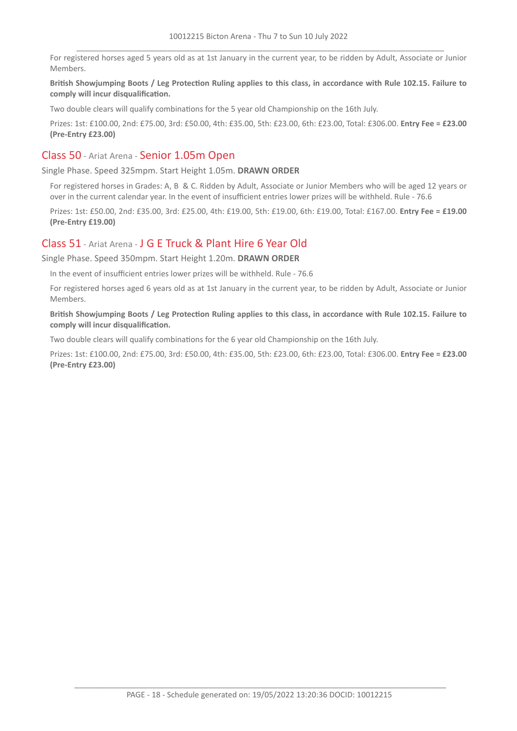For registered horses aged 5 years old as at 1st January in the current year, to be ridden by Adult, Associate or Junior Members.

#### British Showjumping Boots / Leg Protection Ruling applies to this class, in accordance with Rule 102.15. Failure to **comply will incur disqualification.**

Two double clears will qualify combinations for the 5 year old Championship on the 16th July.

Prizes: 1st: £100.00, 2nd: £75.00, 3rd: £50.00, 4th: £35.00, 5th: £23.00, 6th: £23.00, Total: £306.00. **Entry Fee = £23.00 (Pre-Entry £23.00)**

## Class 50 - Ariat Arena - Senior 1.05m Open

Single Phase. Speed 325mpm. Start Height 1.05m. **DRAWN ORDER**

For registered horses in Grades: A, B & C. Ridden by Adult, Associate or Junior Members who will be aged 12 years or over in the current calendar year. In the event of insufficient entries lower prizes will be withheld. Rule - 76.6

Prizes: 1st: £50.00, 2nd: £35.00, 3rd: £25.00, 4th: £19.00, 5th: £19.00, 6th: £19.00, Total: £167.00. **Entry Fee = £19.00 (Pre-Entry £19.00)**

## Class 51 - Ariat Arena - J G E Truck & Plant Hire 6 Year Old

Single Phase. Speed 350mpm. Start Height 1.20m. **DRAWN ORDER**

In the event of insufficient entries lower prizes will be withheld. Rule - 76.6

For registered horses aged 6 years old as at 1st January in the current year, to be ridden by Adult, Associate or Junior Members.

British Showjumping Boots / Leg Protection Ruling applies to this class, in accordance with Rule 102.15. Failure to **comply will incur disqualification.**

Two double clears will qualify combinations for the 6 year old Championship on the 16th July.

Prizes: 1st: £100.00, 2nd: £75.00, 3rd: £50.00, 4th: £35.00, 5th: £23.00, 6th: £23.00, Total: £306.00. **Entry Fee = £23.00 (Pre-Entry £23.00)**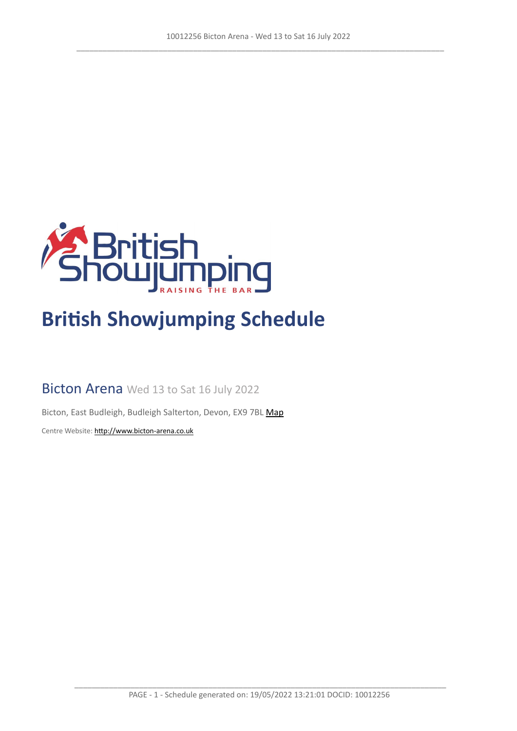

# **British Showjumping Schedule**

Bicton Arena Wed 13 to Sat 16 July 2022

Bicton, East Budleigh, Budleigh Salterton, Devon, EX9 7BL [Map](https://www.google.com/maps/@50.6622270,-3.3308502,16z)

Centre Website: <http://www.bicton-arena.co.uk>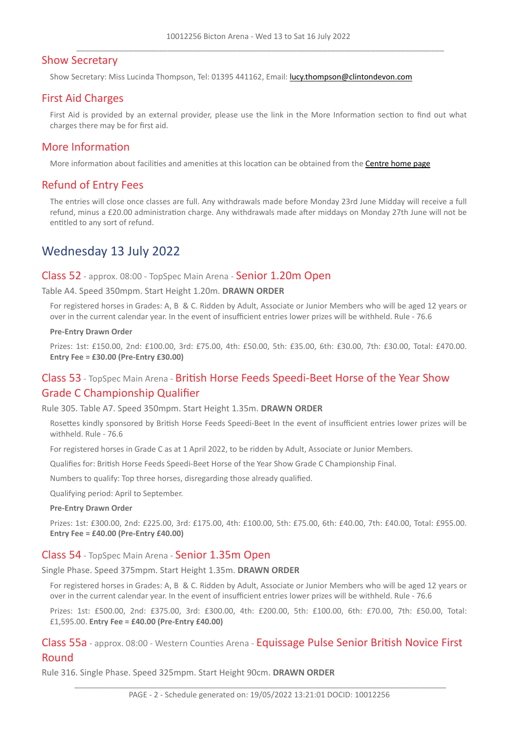## Show Secretary

Show Secretary: Miss Lucinda Thompson, Tel: 01395 441162, Email: <lucy.thompson@clintondevon.com>

## First Aid Charges

First Aid is provided by an external provider, please use the link in the More Information section to find out what charges there may be for first aid.

#### More Information

More information about facilities and amenities at this location can be obtained from the [Centre](http://www.bicton-arena.co.uk) [home](http://www.bicton-arena.co.uk) [page](http://www.bicton-arena.co.uk)

## Refund of Entry Fees

The entries will close once classes are full. Any withdrawals made before Monday 23rd June Midday will receive a full refund, minus a £20.00 administration charge. Any withdrawals made after middays on Monday 27th June will not be entitled to any sort of refund.

## Wednesday 13 July 2022

#### Class 52 - approx. 08:00 - TopSpec Main Arena - Senior 1.20m Open

Table A4. Speed 350mpm. Start Height 1.20m. **DRAWN ORDER**

For registered horses in Grades: A, B & C. Ridden by Adult, Associate or Junior Members who will be aged 12 years or over in the current calendar year. In the event of insufficient entries lower prizes will be withheld. Rule - 76.6

#### **Pre-Entry Drawn Order**

Prizes: 1st: £150.00, 2nd: £100.00, 3rd: £75.00, 4th: £50.00, 5th: £35.00, 6th: £30.00, 7th: £30.00, Total: £470.00. **Entry Fee = £30.00 (Pre-Entry £30.00)**

## Class 53 - TopSpec Main Arena - British Horse Feeds Speedi-Beet Horse of the Year Show Grade C Championship Qualifier

Rule 305. Table A7. Speed 350mpm. Start Height 1.35m. **DRAWN ORDER**

Rosettes kindly sponsored by British Horse Feeds Speedi-Beet In the event of insufficient entries lower prizes will be withheld. Rule - 76.6

For registered horses in Grade C as at 1 April 2022, to be ridden by Adult, Associate or Junior Members.

Qualifies for: British Horse Feeds Speedi-Beet Horse of the Year Show Grade C Championship Final.

Numbers to qualify: Top three horses, disregarding those already qualified.

Qualifying period: April to September.

#### **Pre-Entry Drawn Order**

Prizes: 1st: £300.00, 2nd: £225.00, 3rd: £175.00, 4th: £100.00, 5th: £75.00, 6th: £40.00, 7th: £40.00, Total: £955.00. **Entry Fee = £40.00 (Pre-Entry £40.00)**

#### Class 54 - TopSpec Main Arena - Senior 1.35m Open

Single Phase. Speed 375mpm. Start Height 1.35m. **DRAWN ORDER**

For registered horses in Grades: A, B & C. Ridden by Adult, Associate or Junior Members who will be aged 12 years or over in the current calendar year. In the event of insufficient entries lower prizes will be withheld. Rule - 76.6

Prizes: 1st: £500.00, 2nd: £375.00, 3rd: £300.00, 4th: £200.00, 5th: £100.00, 6th: £70.00, 7th: £50.00, Total: £1,595.00. **Entry Fee = £40.00 (Pre-Entry £40.00)**

Class 55a - approx. 08:00 - Western Counties Arena - Equissage Pulse Senior British Novice First Round

Rule 316. Single Phase. Speed 325mpm. Start Height 90cm. **DRAWN ORDER**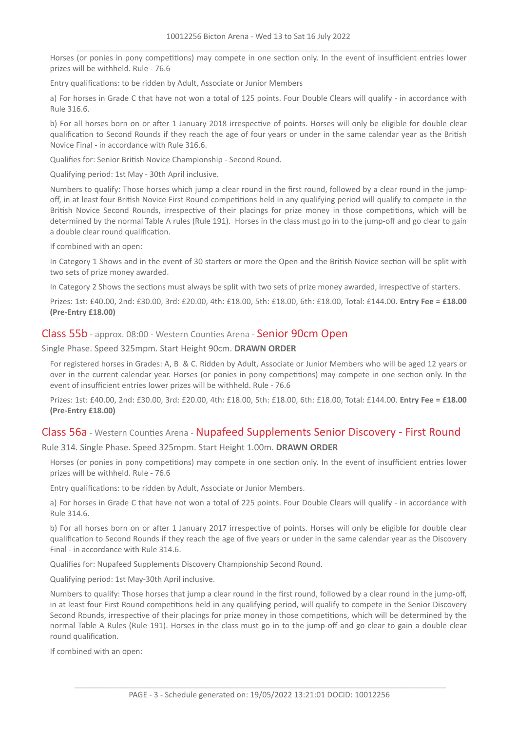Horses (or ponies in pony competitions) may compete in one section only. In the event of insufficient entries lower prizes will be withheld. Rule - 76.6

Entry qualifications: to be ridden by Adult, Associate or Junior Members

a) For horses in Grade C that have not won a total of 125 points. Four Double Clears will qualify - in accordance with Rule 316.6.

b) For all horses born on or after 1 January 2018 irrespective of points. Horses will only be eligible for double clear qualification to Second Rounds if they reach the age of four years or under in the same calendar year as the British Novice Final - in accordance with Rule 316.6.

Qualifies for: Senior British Novice Championship - Second Round.

Qualifying period: 1st May - 30th April inclusive.

Numbers to qualify: Those horses which jump a clear round in the first round, followed by a clear round in the jumpoff, in at least four British Novice First Round competitions held in any qualifying period will qualify to compete in the British Novice Second Rounds, irrespective of their placings for prize money in those competitions, which will be determined by the normal Table A rules (Rule 191). Horses in the class must go in to the jump-off and go clear to gain a double clear round qualification.

If combined with an open:

In Category 1 Shows and in the event of 30 starters or more the Open and the British Novice section will be split with two sets of prize money awarded.

In Category 2 Shows the sections must always be split with two sets of prize money awarded, irrespective of starters.

Prizes: 1st: £40.00, 2nd: £30.00, 3rd: £20.00, 4th: £18.00, 5th: £18.00, 6th: £18.00, Total: £144.00. **Entry Fee = £18.00 (Pre-Entry £18.00)**

#### Class 55b - approx. 08:00 - Western Counties Arena - Senior 90cm Open

Single Phase. Speed 325mpm. Start Height 90cm. **DRAWN ORDER**

For registered horses in Grades: A, B & C. Ridden by Adult, Associate or Junior Members who will be aged 12 years or over in the current calendar year. Horses (or ponies in pony competitions) may compete in one section only. In the event of insufficient entries lower prizes will be withheld. Rule - 76.6

Prizes: 1st: £40.00, 2nd: £30.00, 3rd: £20.00, 4th: £18.00, 5th: £18.00, 6th: £18.00, Total: £144.00. **Entry Fee = £18.00 (Pre-Entry £18.00)**

## Class 56a - Western Counties Arena - Nupafeed Supplements Senior Discovery - First Round

Rule 314. Single Phase. Speed 325mpm. Start Height 1.00m. **DRAWN ORDER**

Horses (or ponies in pony competitions) may compete in one section only. In the event of insufficient entries lower prizes will be withheld. Rule - 76.6

Entry qualifications: to be ridden by Adult, Associate or Junior Members.

a) For horses in Grade C that have not won a total of 225 points. Four Double Clears will qualify - in accordance with Rule 314.6.

b) For all horses born on or after 1 January 2017 irrespective of points. Horses will only be eligible for double clear qualification to Second Rounds if they reach the age of five years or under in the same calendar year as the Discovery Final - in accordance with Rule 314.6.

Qualifies for: Nupafeed Supplements Discovery Championship Second Round.

Qualifying period: 1st May-30th April inclusive.

Numbers to qualify: Those horses that jump a clear round in the first round, followed by a clear round in the jump-off, in at least four First Round competitions held in any qualifying period, will qualify to compete in the Senior Discovery Second Rounds, irrespective of their placings for prize money in those competitions, which will be determined by the normal Table A Rules (Rule 191). Horses in the class must go in to the jump-off and go clear to gain a double clear round qualification.

If combined with an open: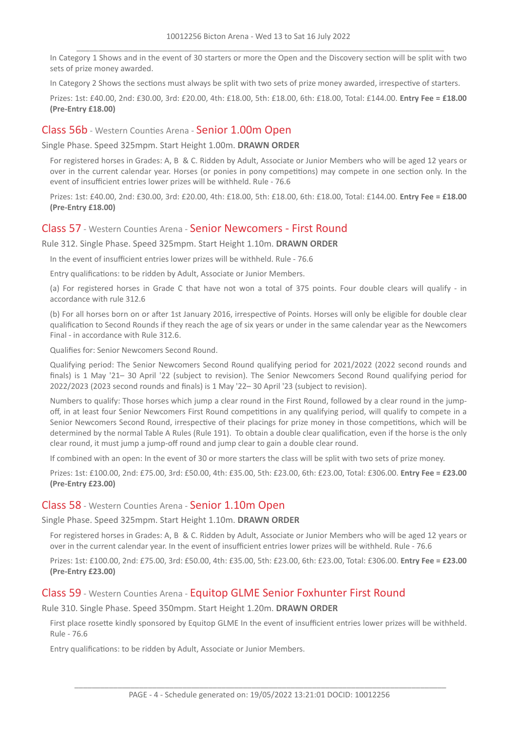In Category 1 Shows and in the event of 30 starters or more the Open and the Discovery section will be split with two sets of prize money awarded.

In Category 2 Shows the sections must always be split with two sets of prize money awarded, irrespective of starters.

Prizes: 1st: £40.00, 2nd: £30.00, 3rd: £20.00, 4th: £18.00, 5th: £18.00, 6th: £18.00, Total: £144.00. **Entry Fee = £18.00 (Pre-Entry £18.00)**

#### Class 56b - Western Counties Arena - Senior 1.00m Open

Single Phase. Speed 325mpm. Start Height 1.00m. **DRAWN ORDER**

For registered horses in Grades: A, B & C. Ridden by Adult, Associate or Junior Members who will be aged 12 years or over in the current calendar year. Horses (or ponies in pony competitions) may compete in one section only. In the event of insufficient entries lower prizes will be withheld. Rule - 76.6

Prizes: 1st: £40.00, 2nd: £30.00, 3rd: £20.00, 4th: £18.00, 5th: £18.00, 6th: £18.00, Total: £144.00. **Entry Fee = £18.00 (Pre-Entry £18.00)**

#### Class 57 - Western Counties Arena - Senior Newcomers - First Round

Rule 312. Single Phase. Speed 325mpm. Start Height 1.10m. **DRAWN ORDER**

In the event of insufficient entries lower prizes will be withheld. Rule - 76.6

Entry qualifications: to be ridden by Adult, Associate or Junior Members.

(a) For registered horses in Grade C that have not won a total of 375 points. Four double clears will qualify - in accordance with rule 312.6

(b) For all horses born on or after 1st January 2016, irrespective of Points. Horses will only be eligible for double clear qualification to Second Rounds if they reach the age of six years or under in the same calendar year as the Newcomers Final - in accordance with Rule 312.6.

Qualifies for: Senior Newcomers Second Round.

Qualifying period: The Senior Newcomers Second Round qualifying period for 2021/2022 (2022 second rounds and finals) is 1 May '21– 30 April '22 (subject to revision). The Senior Newcomers Second Round qualifying period for 2022/2023 (2023 second rounds and finals) is 1 May '22– 30 April '23 (subject to revision).

Numbers to qualify: Those horses which jump a clear round in the First Round, followed by a clear round in the jumpoff, in at least four Senior Newcomers First Round competitions in any qualifying period, will qualify to compete in a Senior Newcomers Second Round, irrespective of their placings for prize money in those competitions, which will be determined by the normal Table A Rules (Rule 191). To obtain a double clear qualification, even if the horse is the only clear round, it must jump a jump-off round and jump clear to gain a double clear round.

If combined with an open: In the event of 30 or more starters the class will be split with two sets of prize money.

Prizes: 1st: £100.00, 2nd: £75.00, 3rd: £50.00, 4th: £35.00, 5th: £23.00, 6th: £23.00, Total: £306.00. **Entry Fee = £23.00 (Pre-Entry £23.00)**

#### Class 58 - Western Counties Arena - Senior 1.10m Open

Single Phase. Speed 325mpm. Start Height 1.10m. **DRAWN ORDER**

For registered horses in Grades: A, B & C. Ridden by Adult, Associate or Junior Members who will be aged 12 years or over in the current calendar year. In the event of insufficient entries lower prizes will be withheld. Rule - 76.6

Prizes: 1st: £100.00, 2nd: £75.00, 3rd: £50.00, 4th: £35.00, 5th: £23.00, 6th: £23.00, Total: £306.00. **Entry Fee = £23.00 (Pre-Entry £23.00)**

#### Class 59 - Western Counties Arena - Equitop GLME Senior Foxhunter First Round

Rule 310. Single Phase. Speed 350mpm. Start Height 1.20m. **DRAWN ORDER**

First place rosette kindly sponsored by Equitop GLME In the event of insufficient entries lower prizes will be withheld. Rule - 76.6

Entry qualifications: to be ridden by Adult, Associate or Junior Members.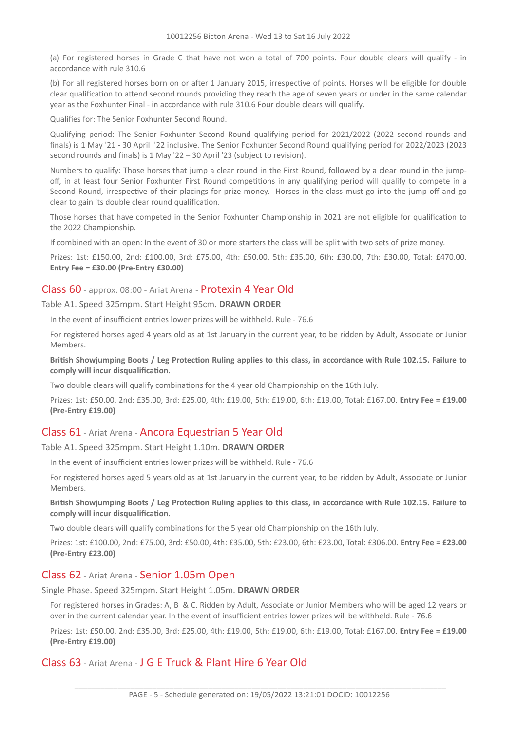(a) For registered horses in Grade C that have not won a total of 700 points. Four double clears will qualify - in accordance with rule 310.6

(b) For all registered horses born on or after 1 January 2015, irrespective of points. Horses will be eligible for double clear qualification to attend second rounds providing they reach the age of seven years or under in the same calendar year as the Foxhunter Final - in accordance with rule 310.6 Four double clears will qualify.

Qualifies for: The Senior Foxhunter Second Round.

Qualifying period: The Senior Foxhunter Second Round qualifying period for 2021/2022 (2022 second rounds and finals) is 1 May '21 - 30 April '22 inclusive. The Senior Foxhunter Second Round qualifying period for 2022/2023 (2023 second rounds and finals) is 1 May '22 – 30 April '23 (subject to revision).

Numbers to qualify: Those horses that jump a clear round in the First Round, followed by a clear round in the jumpoff, in at least four Senior Foxhunter First Round competitions in any qualifying period will qualify to compete in a Second Round, irrespective of their placings for prize money. Horses in the class must go into the jump off and go clear to gain its double clear round qualification.

Those horses that have competed in the Senior Foxhunter Championship in 2021 are not eligible for qualification to the 2022 Championship.

If combined with an open: In the event of 30 or more starters the class will be split with two sets of prize money.

Prizes: 1st: £150.00, 2nd: £100.00, 3rd: £75.00, 4th: £50.00, 5th: £35.00, 6th: £30.00, 7th: £30.00, Total: £470.00. **Entry Fee = £30.00 (Pre-Entry £30.00)**

## Class 60 - approx. 08:00 - Ariat Arena - Protexin 4 Year Old

Table A1. Speed 325mpm. Start Height 95cm. **DRAWN ORDER**

In the event of insufficient entries lower prizes will be withheld. Rule - 76.6

For registered horses aged 4 years old as at 1st January in the current year, to be ridden by Adult, Associate or Junior Members.

British Showjumping Boots / Leg Protection Ruling applies to this class, in accordance with Rule 102.15. Failure to **comply will incur disqualification.**

Two double clears will qualify combinations for the 4 year old Championship on the 16th July.

Prizes: 1st: £50.00, 2nd: £35.00, 3rd: £25.00, 4th: £19.00, 5th: £19.00, 6th: £19.00, Total: £167.00. **Entry Fee = £19.00 (Pre-Entry £19.00)**

## Class 61 - Ariat Arena - Ancora Equestrian 5 Year Old

Table A1. Speed 325mpm. Start Height 1.10m. **DRAWN ORDER**

In the event of insufficient entries lower prizes will be withheld. Rule - 76.6

For registered horses aged 5 years old as at 1st January in the current year, to be ridden by Adult, Associate or Junior Members.

British Showjumping Boots / Leg Protection Ruling applies to this class, in accordance with Rule 102.15. Failure to **comply will incur disqualification.**

Two double clears will qualify combinations for the 5 year old Championship on the 16th July.

Prizes: 1st: £100.00, 2nd: £75.00, 3rd: £50.00, 4th: £35.00, 5th: £23.00, 6th: £23.00, Total: £306.00. **Entry Fee = £23.00 (Pre-Entry £23.00)**

## Class 62 - Ariat Arena - Senior 1.05m Open

Single Phase. Speed 325mpm. Start Height 1.05m. **DRAWN ORDER**

For registered horses in Grades: A, B & C. Ridden by Adult, Associate or Junior Members who will be aged 12 years or over in the current calendar year. In the event of insufficient entries lower prizes will be withheld. Rule - 76.6

Prizes: 1st: £50.00, 2nd: £35.00, 3rd: £25.00, 4th: £19.00, 5th: £19.00, 6th: £19.00, Total: £167.00. **Entry Fee = £19.00 (Pre-Entry £19.00)**

## Class 63 - Ariat Arena - J G E Truck & Plant Hire 6 Year Old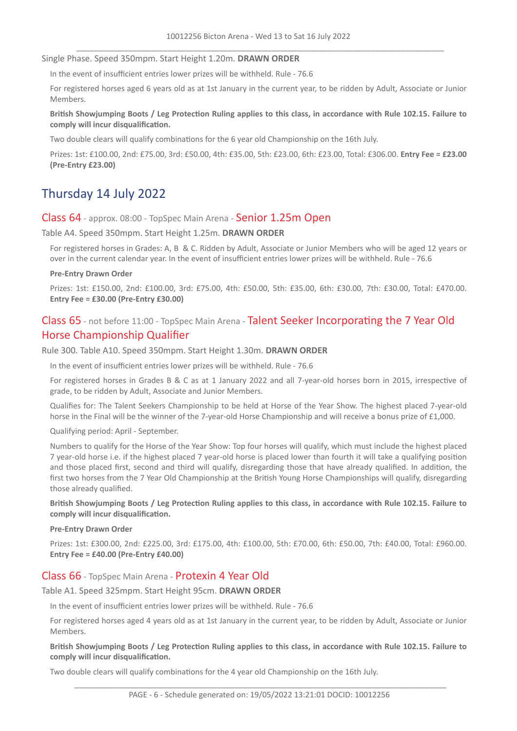#### Single Phase. Speed 350mpm. Start Height 1.20m. **DRAWN ORDER**

In the event of insufficient entries lower prizes will be withheld. Rule - 76.6

For registered horses aged 6 years old as at 1st January in the current year, to be ridden by Adult, Associate or Junior Members.

British Showjumping Boots / Leg Protection Ruling applies to this class, in accordance with Rule 102.15. Failure to **comply will incur disqualification.**

Two double clears will qualify combinations for the 6 year old Championship on the 16th July.

Prizes: 1st: £100.00, 2nd: £75.00, 3rd: £50.00, 4th: £35.00, 5th: £23.00, 6th: £23.00, Total: £306.00. **Entry Fee = £23.00 (Pre-Entry £23.00)**

# Thursday 14 July 2022

#### Class 64 - approx. 08:00 - TopSpec Main Arena - Senior 1.25m Open

Table A4. Speed 350mpm. Start Height 1.25m. **DRAWN ORDER**

For registered horses in Grades: A, B & C. Ridden by Adult, Associate or Junior Members who will be aged 12 years or over in the current calendar year. In the event of insufficient entries lower prizes will be withheld. Rule - 76.6

#### **Pre-Entry Drawn Order**

Prizes: 1st: £150.00, 2nd: £100.00, 3rd: £75.00, 4th: £50.00, 5th: £35.00, 6th: £30.00, 7th: £30.00, Total: £470.00. **Entry Fee = £30.00 (Pre-Entry £30.00)**

## Class 65 - not before 11:00 - TopSpec Main Arena - Talent Seeker Incorporating the 7 Year Old Horse Championship Qualifier

Rule 300. Table A10. Speed 350mpm. Start Height 1.30m. **DRAWN ORDER**

In the event of insufficient entries lower prizes will be withheld. Rule - 76.6

For registered horses in Grades B & C as at 1 January 2022 and all 7-year-old horses born in 2015, irrespective of grade, to be ridden by Adult, Associate and Junior Members.

Qualifies for: The Talent Seekers Championship to be held at Horse of the Year Show. The highest placed 7-year-old horse in the Final will be the winner of the 7-year-old Horse Championship and will receive a bonus prize of £1,000.

Qualifying period: April - September.

Numbers to qualify for the Horse of the Year Show: Top four horses will qualify, which must include the highest placed 7 year-old horse i.e. if the highest placed 7 year-old horse is placed lower than fourth it will take a qualifying position and those placed first, second and third will qualify, disregarding those that have already qualified. In addition, the first two horses from the 7 Year Old Championship at the British Young Horse Championships will qualify, disregarding those already qualified.

British Showjumping Boots / Leg Protection Ruling applies to this class, in accordance with Rule 102.15. Failure to **comply will incur disqualification.**

#### **Pre-Entry Drawn Order**

Prizes: 1st: £300.00, 2nd: £225.00, 3rd: £175.00, 4th: £100.00, 5th: £70.00, 6th: £50.00, 7th: £40.00, Total: £960.00. **Entry Fee = £40.00 (Pre-Entry £40.00)**

#### Class 66 - TopSpec Main Arena - Protexin 4 Year Old

#### Table A1. Speed 325mpm. Start Height 95cm. **DRAWN ORDER**

In the event of insufficient entries lower prizes will be withheld. Rule - 76.6

For registered horses aged 4 years old as at 1st January in the current year, to be ridden by Adult, Associate or Junior Members.

British Showjumping Boots / Leg Protection Ruling applies to this class, in accordance with Rule 102.15. Failure to **comply will incur disqualification.**

Two double clears will qualify combinations for the 4 year old Championship on the 16th July.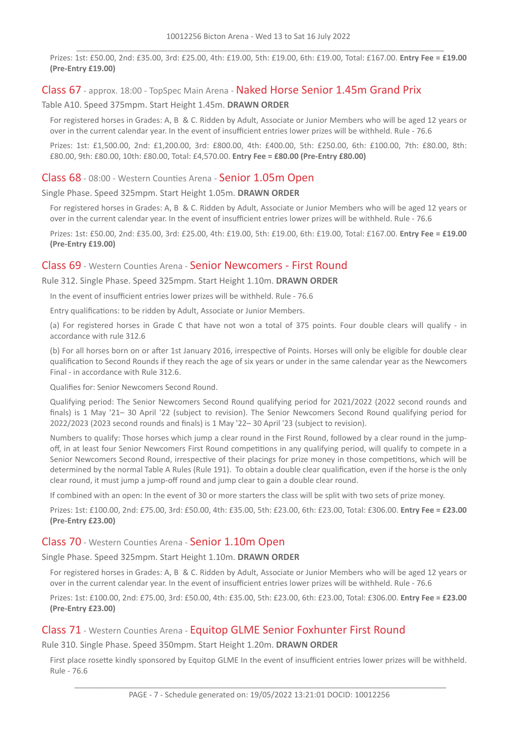Prizes: 1st: £50.00, 2nd: £35.00, 3rd: £25.00, 4th: £19.00, 5th: £19.00, 6th: £19.00, Total: £167.00. **Entry Fee = £19.00 (Pre-Entry £19.00)**

#### Class 67 - approx. 18:00 - TopSpec Main Arena - Naked Horse Senior 1.45m Grand Prix

Table A10. Speed 375mpm. Start Height 1.45m. **DRAWN ORDER**

For registered horses in Grades: A, B & C. Ridden by Adult, Associate or Junior Members who will be aged 12 years or over in the current calendar year. In the event of insufficient entries lower prizes will be withheld. Rule - 76.6

Prizes: 1st: £1,500.00, 2nd: £1,200.00, 3rd: £800.00, 4th: £400.00, 5th: £250.00, 6th: £100.00, 7th: £80.00, 8th: £80.00, 9th: £80.00, 10th: £80.00, Total: £4,570.00. **Entry Fee = £80.00 (Pre-Entry £80.00)**

#### Class 68 - 08:00 - Western Counties Arena - Senior 1.05m Open

#### Single Phase. Speed 325mpm. Start Height 1.05m. **DRAWN ORDER**

For registered horses in Grades: A, B & C. Ridden by Adult, Associate or Junior Members who will be aged 12 years or over in the current calendar year. In the event of insufficient entries lower prizes will be withheld. Rule - 76.6

Prizes: 1st: £50.00, 2nd: £35.00, 3rd: £25.00, 4th: £19.00, 5th: £19.00, 6th: £19.00, Total: £167.00. **Entry Fee = £19.00 (Pre-Entry £19.00)**

#### Class 69 - Western Counties Arena - Senior Newcomers - First Round

#### Rule 312. Single Phase. Speed 325mpm. Start Height 1.10m. **DRAWN ORDER**

In the event of insufficient entries lower prizes will be withheld. Rule - 76.6

Entry qualifications: to be ridden by Adult, Associate or Junior Members.

(a) For registered horses in Grade C that have not won a total of 375 points. Four double clears will qualify - in accordance with rule 312.6

(b) For all horses born on or after 1st January 2016, irrespective of Points. Horses will only be eligible for double clear qualification to Second Rounds if they reach the age of six years or under in the same calendar year as the Newcomers Final - in accordance with Rule 312.6.

Qualifies for: Senior Newcomers Second Round.

Qualifying period: The Senior Newcomers Second Round qualifying period for 2021/2022 (2022 second rounds and finals) is 1 May '21– 30 April '22 (subject to revision). The Senior Newcomers Second Round qualifying period for 2022/2023 (2023 second rounds and finals) is 1 May '22– 30 April '23 (subject to revision).

Numbers to qualify: Those horses which jump a clear round in the First Round, followed by a clear round in the jumpoff, in at least four Senior Newcomers First Round competitions in any qualifying period, will qualify to compete in a Senior Newcomers Second Round, irrespective of their placings for prize money in those competitions, which will be determined by the normal Table A Rules (Rule 191). To obtain a double clear qualification, even if the horse is the only clear round, it must jump a jump-off round and jump clear to gain a double clear round.

If combined with an open: In the event of 30 or more starters the class will be split with two sets of prize money.

Prizes: 1st: £100.00, 2nd: £75.00, 3rd: £50.00, 4th: £35.00, 5th: £23.00, 6th: £23.00, Total: £306.00. **Entry Fee = £23.00 (Pre-Entry £23.00)**

## Class 70 - Western Counties Arena - Senior 1.10m Open

#### Single Phase. Speed 325mpm. Start Height 1.10m. **DRAWN ORDER**

For registered horses in Grades: A, B & C. Ridden by Adult, Associate or Junior Members who will be aged 12 years or over in the current calendar year. In the event of insufficient entries lower prizes will be withheld. Rule - 76.6

Prizes: 1st: £100.00, 2nd: £75.00, 3rd: £50.00, 4th: £35.00, 5th: £23.00, 6th: £23.00, Total: £306.00. **Entry Fee = £23.00 (Pre-Entry £23.00)**

## Class 71 - Western Counties Arena - Equitop GLME Senior Foxhunter First Round

Rule 310. Single Phase. Speed 350mpm. Start Height 1.20m. **DRAWN ORDER**

First place rosette kindly sponsored by Equitop GLME In the event of insufficient entries lower prizes will be withheld. Rule - 76.6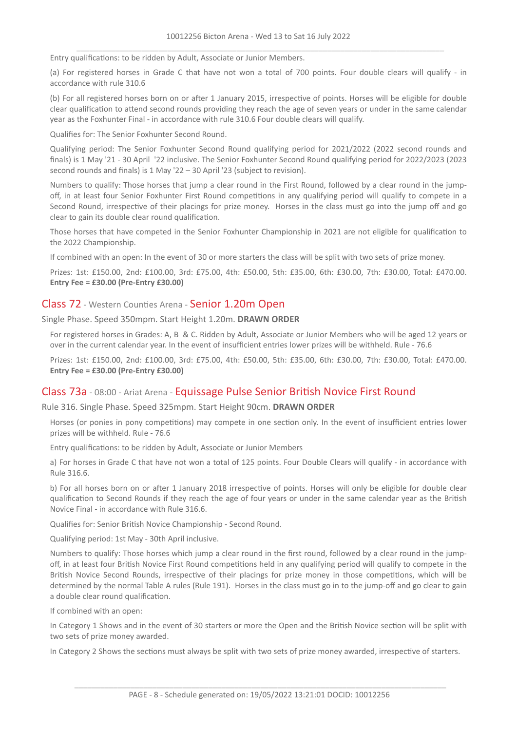Entry qualifications: to be ridden by Adult, Associate or Junior Members.

(a) For registered horses in Grade C that have not won a total of 700 points. Four double clears will qualify - in accordance with rule 310.6

(b) For all registered horses born on or after 1 January 2015, irrespective of points. Horses will be eligible for double clear qualification to attend second rounds providing they reach the age of seven years or under in the same calendar year as the Foxhunter Final - in accordance with rule 310.6 Four double clears will qualify.

Qualifies for: The Senior Foxhunter Second Round.

Qualifying period: The Senior Foxhunter Second Round qualifying period for 2021/2022 (2022 second rounds and finals) is 1 May '21 - 30 April '22 inclusive. The Senior Foxhunter Second Round qualifying period for 2022/2023 (2023 second rounds and finals) is 1 May '22 – 30 April '23 (subject to revision).

Numbers to qualify: Those horses that jump a clear round in the First Round, followed by a clear round in the jumpoff, in at least four Senior Foxhunter First Round competitions in any qualifying period will qualify to compete in a Second Round, irrespective of their placings for prize money. Horses in the class must go into the jump off and go clear to gain its double clear round qualification.

Those horses that have competed in the Senior Foxhunter Championship in 2021 are not eligible for qualification to the 2022 Championship.

If combined with an open: In the event of 30 or more starters the class will be split with two sets of prize money.

Prizes: 1st: £150.00, 2nd: £100.00, 3rd: £75.00, 4th: £50.00, 5th: £35.00, 6th: £30.00, 7th: £30.00, Total: £470.00. **Entry Fee = £30.00 (Pre-Entry £30.00)**

#### Class 72 - Western Counties Arena - Senior 1.20m Open

Single Phase. Speed 350mpm. Start Height 1.20m. **DRAWN ORDER**

For registered horses in Grades: A, B & C. Ridden by Adult, Associate or Junior Members who will be aged 12 years or over in the current calendar year. In the event of insufficient entries lower prizes will be withheld. Rule - 76.6

Prizes: 1st: £150.00, 2nd: £100.00, 3rd: £75.00, 4th: £50.00, 5th: £35.00, 6th: £30.00, 7th: £30.00, Total: £470.00. **Entry Fee = £30.00 (Pre-Entry £30.00)**

## Class 73a - 08:00 - Ariat Arena - Equissage Pulse Senior British Novice First Round

Rule 316. Single Phase. Speed 325mpm. Start Height 90cm. **DRAWN ORDER**

Horses (or ponies in pony competitions) may compete in one section only. In the event of insufficient entries lower prizes will be withheld. Rule - 76.6

Entry qualifications: to be ridden by Adult, Associate or Junior Members

a) For horses in Grade C that have not won a total of 125 points. Four Double Clears will qualify - in accordance with Rule 316.6.

b) For all horses born on or after 1 January 2018 irrespective of points. Horses will only be eligible for double clear qualification to Second Rounds if they reach the age of four years or under in the same calendar year as the British Novice Final - in accordance with Rule 316.6.

Qualifies for: Senior British Novice Championship - Second Round.

Qualifying period: 1st May - 30th April inclusive.

Numbers to qualify: Those horses which jump a clear round in the first round, followed by a clear round in the jumpoff, in at least four British Novice First Round competitions held in any qualifying period will qualify to compete in the British Novice Second Rounds, irrespective of their placings for prize money in those competitions, which will be determined by the normal Table A rules (Rule 191). Horses in the class must go in to the jump-off and go clear to gain a double clear round qualification.

If combined with an open:

In Category 1 Shows and in the event of 30 starters or more the Open and the British Novice section will be split with two sets of prize money awarded.

In Category 2 Shows the sections must always be split with two sets of prize money awarded, irrespective of starters.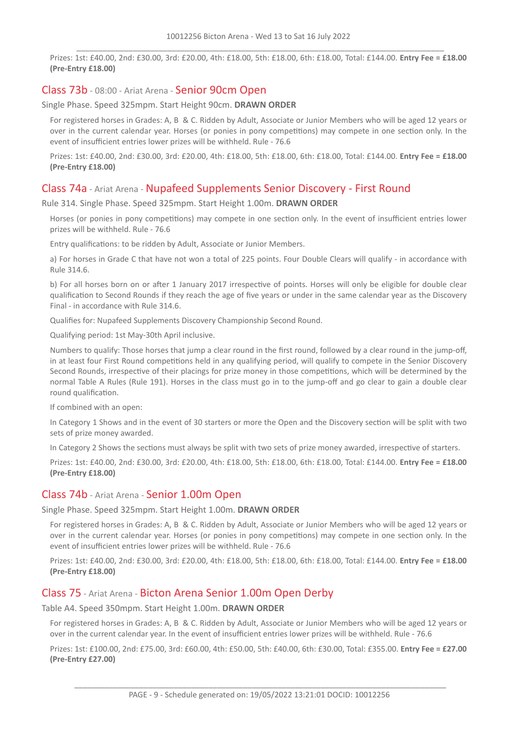Prizes: 1st: £40.00, 2nd: £30.00, 3rd: £20.00, 4th: £18.00, 5th: £18.00, 6th: £18.00, Total: £144.00. **Entry Fee = £18.00 (Pre-Entry £18.00)**

## Class 73b - 08:00 - Ariat Arena - Senior 90cm Open

Single Phase. Speed 325mpm. Start Height 90cm. **DRAWN ORDER**

For registered horses in Grades: A, B & C. Ridden by Adult, Associate or Junior Members who will be aged 12 years or over in the current calendar year. Horses (or ponies in pony competitions) may compete in one section only. In the event of insufficient entries lower prizes will be withheld. Rule - 76.6

Prizes: 1st: £40.00, 2nd: £30.00, 3rd: £20.00, 4th: £18.00, 5th: £18.00, 6th: £18.00, Total: £144.00. **Entry Fee = £18.00 (Pre-Entry £18.00)**

## Class 74a - Ariat Arena - Nupafeed Supplements Senior Discovery - First Round

Rule 314. Single Phase. Speed 325mpm. Start Height 1.00m. **DRAWN ORDER**

Horses (or ponies in pony competitions) may compete in one section only. In the event of insufficient entries lower prizes will be withheld. Rule - 76.6

Entry qualifications: to be ridden by Adult, Associate or Junior Members.

a) For horses in Grade C that have not won a total of 225 points. Four Double Clears will qualify - in accordance with Rule 314.6.

b) For all horses born on or after 1 January 2017 irrespective of points. Horses will only be eligible for double clear qualification to Second Rounds if they reach the age of five years or under in the same calendar year as the Discovery Final - in accordance with Rule 314.6.

Qualifies for: Nupafeed Supplements Discovery Championship Second Round.

Qualifying period: 1st May-30th April inclusive.

Numbers to qualify: Those horses that jump a clear round in the first round, followed by a clear round in the jump-off, in at least four First Round competitions held in any qualifying period, will qualify to compete in the Senior Discovery Second Rounds, irrespective of their placings for prize money in those competitions, which will be determined by the normal Table A Rules (Rule 191). Horses in the class must go in to the jump-off and go clear to gain a double clear round qualification.

If combined with an open:

In Category 1 Shows and in the event of 30 starters or more the Open and the Discovery section will be split with two sets of prize money awarded.

In Category 2 Shows the sections must always be split with two sets of prize money awarded, irrespective of starters.

Prizes: 1st: £40.00, 2nd: £30.00, 3rd: £20.00, 4th: £18.00, 5th: £18.00, 6th: £18.00, Total: £144.00. **Entry Fee = £18.00 (Pre-Entry £18.00)**

## Class 74b - Ariat Arena - Senior 1.00m Open

Single Phase. Speed 325mpm. Start Height 1.00m. **DRAWN ORDER**

For registered horses in Grades: A, B & C. Ridden by Adult, Associate or Junior Members who will be aged 12 years or over in the current calendar year. Horses (or ponies in pony competitions) may compete in one section only. In the event of insufficient entries lower prizes will be withheld. Rule - 76.6

Prizes: 1st: £40.00, 2nd: £30.00, 3rd: £20.00, 4th: £18.00, 5th: £18.00, 6th: £18.00, Total: £144.00. **Entry Fee = £18.00 (Pre-Entry £18.00)**

## Class 75 - Ariat Arena - Bicton Arena Senior 1.00m Open Derby

Table A4. Speed 350mpm. Start Height 1.00m. **DRAWN ORDER**

For registered horses in Grades: A, B & C. Ridden by Adult, Associate or Junior Members who will be aged 12 years or over in the current calendar year. In the event of insufficient entries lower prizes will be withheld. Rule - 76.6

Prizes: 1st: £100.00, 2nd: £75.00, 3rd: £60.00, 4th: £50.00, 5th: £40.00, 6th: £30.00, Total: £355.00. **Entry Fee = £27.00 (Pre-Entry £27.00)**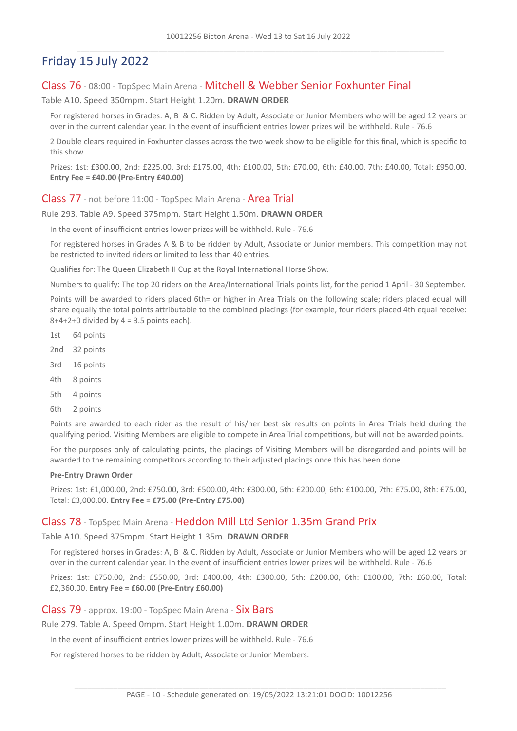# Friday 15 July 2022

## Class 76 - 08:00 - TopSpec Main Arena - Mitchell & Webber Senior Foxhunter Final

Table A10. Speed 350mpm. Start Height 1.20m. **DRAWN ORDER**

For registered horses in Grades: A, B & C. Ridden by Adult, Associate or Junior Members who will be aged 12 years or over in the current calendar year. In the event of insufficient entries lower prizes will be withheld. Rule - 76.6

2 Double clears required in Foxhunter classes across the two week show to be eligible for this final, which is specific to this show.

Prizes: 1st: £300.00, 2nd: £225.00, 3rd: £175.00, 4th: £100.00, 5th: £70.00, 6th: £40.00, 7th: £40.00, Total: £950.00. **Entry Fee = £40.00 (Pre-Entry £40.00)**

#### Class 77 - not before 11:00 - TopSpec Main Arena - Area Trial

#### Rule 293. Table A9. Speed 375mpm. Start Height 1.50m. **DRAWN ORDER**

In the event of insufficient entries lower prizes will be withheld. Rule - 76.6

For registered horses in Grades A & B to be ridden by Adult, Associate or Junior members. This competition may not be restricted to invited riders or limited to less than 40 entries.

Qualifies for: The Queen Elizabeth II Cup at the Royal International Horse Show.

Numbers to qualify: The top 20 riders on the Area/International Trials points list, for the period 1 April - 30 September.

Points will be awarded to riders placed 6th= or higher in Area Trials on the following scale; riders placed equal will share equally the total points attributable to the combined placings (for example, four riders placed 4th equal receive:  $8+4+2+0$  divided by  $4 = 3.5$  points each).

- 1st 64 points
- 2nd 32 points
- 3rd 16 points
- 4th 8 points
- 5th 4 points
- 6th 2 points

Points are awarded to each rider as the result of his/her best six results on points in Area Trials held during the qualifying period. Visiting Members are eligible to compete in Area Trial competitions, but will not be awarded points.

For the purposes only of calculating points, the placings of Visiting Members will be disregarded and points will be awarded to the remaining competitors according to their adjusted placings once this has been done.

#### **Pre-Entry Drawn Order**

Prizes: 1st: £1,000.00, 2nd: £750.00, 3rd: £500.00, 4th: £300.00, 5th: £200.00, 6th: £100.00, 7th: £75.00, 8th: £75.00, Total: £3,000.00. **Entry Fee = £75.00 (Pre-Entry £75.00)**

## Class 78 - TopSpec Main Arena - Heddon Mill Ltd Senior 1.35m Grand Prix

Table A10. Speed 375mpm. Start Height 1.35m. **DRAWN ORDER**

For registered horses in Grades: A, B & C. Ridden by Adult, Associate or Junior Members who will be aged 12 years or over in the current calendar year. In the event of insufficient entries lower prizes will be withheld. Rule - 76.6

Prizes: 1st: £750.00, 2nd: £550.00, 3rd: £400.00, 4th: £300.00, 5th: £200.00, 6th: £100.00, 7th: £60.00, Total: £2,360.00. **Entry Fee = £60.00 (Pre-Entry £60.00)**

#### Class 79 - approx. 19:00 - TopSpec Main Arena - Six Bars

Rule 279. Table A. Speed 0mpm. Start Height 1.00m. **DRAWN ORDER**

In the event of insufficient entries lower prizes will be withheld. Rule - 76.6

For registered horses to be ridden by Adult, Associate or Junior Members.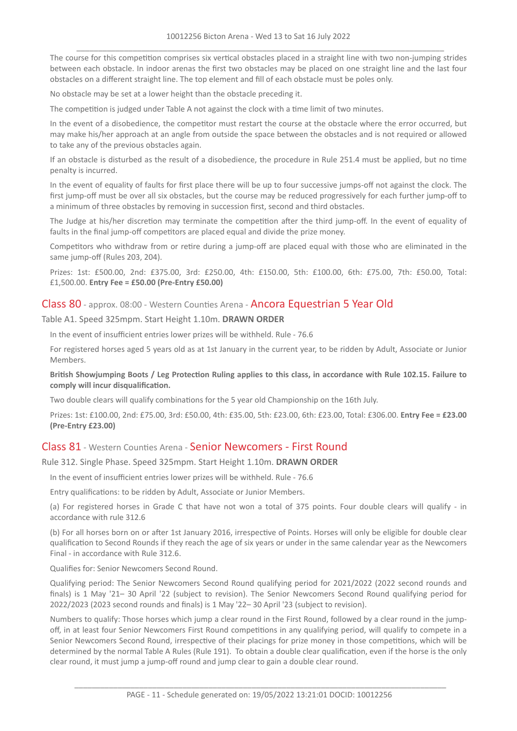The course for this competition comprises six vertical obstacles placed in a straight line with two non-jumping strides between each obstacle. In indoor arenas the first two obstacles may be placed on one straight line and the last four obstacles on a different straight line. The top element and fill of each obstacle must be poles only.

No obstacle may be set at a lower height than the obstacle preceding it.

The competition is judged under Table A not against the clock with a time limit of two minutes.

In the event of a disobedience, the competitor must restart the course at the obstacle where the error occurred, but may make his/her approach at an angle from outside the space between the obstacles and is not required or allowed to take any of the previous obstacles again.

If an obstacle is disturbed as the result of a disobedience, the procedure in Rule 251.4 must be applied, but no time penalty is incurred.

In the event of equality of faults for first place there will be up to four successive jumps-off not against the clock. The first jump-off must be over all six obstacles, but the course may be reduced progressively for each further jump-off to a minimum of three obstacles by removing in succession first, second and third obstacles.

The Judge at his/her discretion may terminate the competition after the third jump-off. In the event of equality of faults in the final jump-off competitors are placed equal and divide the prize money.

Competitors who withdraw from or retire during a jump-off are placed equal with those who are eliminated in the same jump-off (Rules 203, 204).

Prizes: 1st: £500.00, 2nd: £375.00, 3rd: £250.00, 4th: £150.00, 5th: £100.00, 6th: £75.00, 7th: £50.00, Total: £1,500.00. **Entry Fee = £50.00 (Pre-Entry £50.00)**

## Class 80 - approx. 08:00 - Western Counties Arena - Ancora Equestrian 5 Year Old

Table A1. Speed 325mpm. Start Height 1.10m. **DRAWN ORDER**

In the event of insufficient entries lower prizes will be withheld. Rule - 76.6

For registered horses aged 5 years old as at 1st January in the current year, to be ridden by Adult, Associate or Junior Members.

British Showjumping Boots / Leg Protection Ruling applies to this class, in accordance with Rule 102.15. Failure to **comply will incur disqualification.**

Two double clears will qualify combinations for the 5 year old Championship on the 16th July.

Prizes: 1st: £100.00, 2nd: £75.00, 3rd: £50.00, 4th: £35.00, 5th: £23.00, 6th: £23.00, Total: £306.00. **Entry Fee = £23.00 (Pre-Entry £23.00)**

## Class 81 - Western Counties Arena - Senior Newcomers - First Round

#### Rule 312. Single Phase. Speed 325mpm. Start Height 1.10m. **DRAWN ORDER**

In the event of insufficient entries lower prizes will be withheld. Rule - 76.6

Entry qualifications: to be ridden by Adult, Associate or Junior Members.

(a) For registered horses in Grade C that have not won a total of 375 points. Four double clears will qualify - in accordance with rule 312.6

(b) For all horses born on or after 1st January 2016, irrespective of Points. Horses will only be eligible for double clear qualification to Second Rounds if they reach the age of six years or under in the same calendar year as the Newcomers Final - in accordance with Rule 312.6.

Qualifies for: Senior Newcomers Second Round.

Qualifying period: The Senior Newcomers Second Round qualifying period for 2021/2022 (2022 second rounds and finals) is 1 May '21– 30 April '22 (subject to revision). The Senior Newcomers Second Round qualifying period for 2022/2023 (2023 second rounds and finals) is 1 May '22– 30 April '23 (subject to revision).

Numbers to qualify: Those horses which jump a clear round in the First Round, followed by a clear round in the jumpoff, in at least four Senior Newcomers First Round competitions in any qualifying period, will qualify to compete in a Senior Newcomers Second Round, irrespective of their placings for prize money in those competitions, which will be determined by the normal Table A Rules (Rule 191). To obtain a double clear qualification, even if the horse is the only clear round, it must jump a jump-off round and jump clear to gain a double clear round.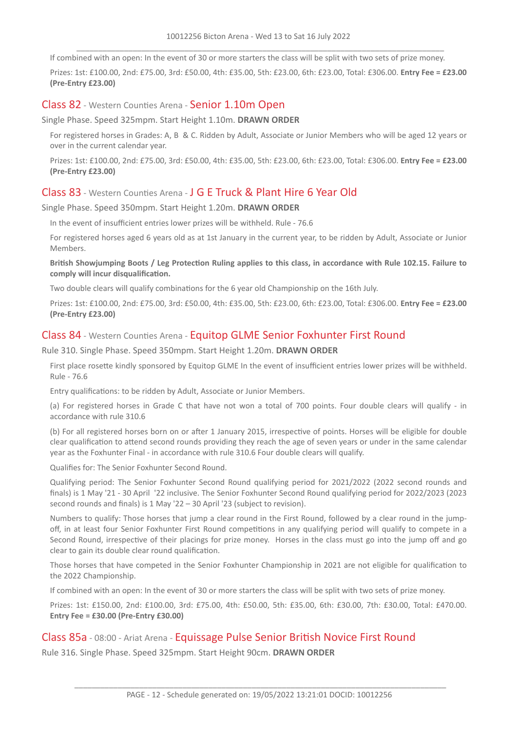If combined with an open: In the event of 30 or more starters the class will be split with two sets of prize money.

Prizes: 1st: £100.00, 2nd: £75.00, 3rd: £50.00, 4th: £35.00, 5th: £23.00, 6th: £23.00, Total: £306.00. **Entry Fee = £23.00 (Pre-Entry £23.00)**

#### Class 82 - Western Counties Arena - Senior 1.10m Open

Single Phase. Speed 325mpm. Start Height 1.10m. **DRAWN ORDER**

For registered horses in Grades: A, B & C. Ridden by Adult, Associate or Junior Members who will be aged 12 years or over in the current calendar year.

Prizes: 1st: £100.00, 2nd: £75.00, 3rd: £50.00, 4th: £35.00, 5th: £23.00, 6th: £23.00, Total: £306.00. **Entry Fee = £23.00 (Pre-Entry £23.00)**

## Class 83 - Western Counties Arena - J G E Truck & Plant Hire 6 Year Old

Single Phase. Speed 350mpm. Start Height 1.20m. **DRAWN ORDER**

In the event of insufficient entries lower prizes will be withheld. Rule - 76.6

For registered horses aged 6 years old as at 1st January in the current year, to be ridden by Adult, Associate or Junior Members.

British Showjumping Boots / Leg Protection Ruling applies to this class, in accordance with Rule 102.15. Failure to **comply will incur disqualification.**

Two double clears will qualify combinations for the 6 year old Championship on the 16th July.

Prizes: 1st: £100.00, 2nd: £75.00, 3rd: £50.00, 4th: £35.00, 5th: £23.00, 6th: £23.00, Total: £306.00. **Entry Fee = £23.00 (Pre-Entry £23.00)**

## Class 84 - Western Counties Arena - Equitop GLME Senior Foxhunter First Round

Rule 310. Single Phase. Speed 350mpm. Start Height 1.20m. **DRAWN ORDER**

First place rosette kindly sponsored by Equitop GLME In the event of insufficient entries lower prizes will be withheld. Rule - 76.6

Entry qualifications: to be ridden by Adult, Associate or Junior Members.

(a) For registered horses in Grade C that have not won a total of 700 points. Four double clears will qualify - in accordance with rule 310.6

(b) For all registered horses born on or after 1 January 2015, irrespective of points. Horses will be eligible for double clear qualification to attend second rounds providing they reach the age of seven years or under in the same calendar year as the Foxhunter Final - in accordance with rule 310.6 Four double clears will qualify.

Qualifies for: The Senior Foxhunter Second Round.

Qualifying period: The Senior Foxhunter Second Round qualifying period for 2021/2022 (2022 second rounds and finals) is 1 May '21 - 30 April '22 inclusive. The Senior Foxhunter Second Round qualifying period for 2022/2023 (2023 second rounds and finals) is 1 May '22 – 30 April '23 (subject to revision).

Numbers to qualify: Those horses that jump a clear round in the First Round, followed by a clear round in the jumpoff, in at least four Senior Foxhunter First Round competitions in any qualifying period will qualify to compete in a Second Round, irrespective of their placings for prize money. Horses in the class must go into the jump off and go clear to gain its double clear round qualification.

Those horses that have competed in the Senior Foxhunter Championship in 2021 are not eligible for qualification to the 2022 Championship.

If combined with an open: In the event of 30 or more starters the class will be split with two sets of prize money.

Prizes: 1st: £150.00, 2nd: £100.00, 3rd: £75.00, 4th: £50.00, 5th: £35.00, 6th: £30.00, 7th: £30.00, Total: £470.00. **Entry Fee = £30.00 (Pre-Entry £30.00)**

## Class 85a - 08:00 - Ariat Arena - Equissage Pulse Senior British Novice First Round

Rule 316. Single Phase. Speed 325mpm. Start Height 90cm. **DRAWN ORDER**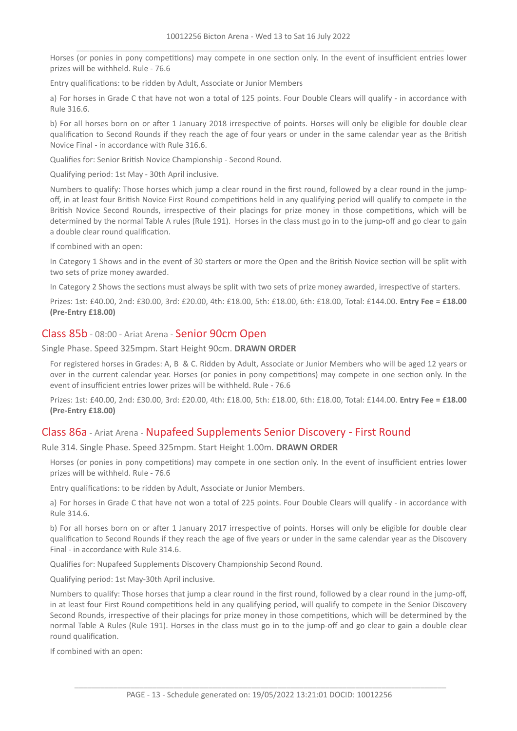Horses (or ponies in pony competitions) may compete in one section only. In the event of insufficient entries lower prizes will be withheld. Rule - 76.6

Entry qualifications: to be ridden by Adult, Associate or Junior Members

a) For horses in Grade C that have not won a total of 125 points. Four Double Clears will qualify - in accordance with Rule 316.6.

b) For all horses born on or after 1 January 2018 irrespective of points. Horses will only be eligible for double clear qualification to Second Rounds if they reach the age of four years or under in the same calendar year as the British Novice Final - in accordance with Rule 316.6.

Qualifies for: Senior British Novice Championship - Second Round.

Qualifying period: 1st May - 30th April inclusive.

Numbers to qualify: Those horses which jump a clear round in the first round, followed by a clear round in the jumpoff, in at least four British Novice First Round competitions held in any qualifying period will qualify to compete in the British Novice Second Rounds, irrespective of their placings for prize money in those competitions, which will be determined by the normal Table A rules (Rule 191). Horses in the class must go in to the jump-off and go clear to gain a double clear round qualification.

If combined with an open:

In Category 1 Shows and in the event of 30 starters or more the Open and the British Novice section will be split with two sets of prize money awarded.

In Category 2 Shows the sections must always be split with two sets of prize money awarded, irrespective of starters.

Prizes: 1st: £40.00, 2nd: £30.00, 3rd: £20.00, 4th: £18.00, 5th: £18.00, 6th: £18.00, Total: £144.00. **Entry Fee = £18.00 (Pre-Entry £18.00)**

#### Class 85b - 08:00 - Ariat Arena - Senior 90cm Open

Single Phase. Speed 325mpm. Start Height 90cm. **DRAWN ORDER**

For registered horses in Grades: A, B & C. Ridden by Adult, Associate or Junior Members who will be aged 12 years or over in the current calendar year. Horses (or ponies in pony competitions) may compete in one section only. In the event of insufficient entries lower prizes will be withheld. Rule - 76.6

Prizes: 1st: £40.00, 2nd: £30.00, 3rd: £20.00, 4th: £18.00, 5th: £18.00, 6th: £18.00, Total: £144.00. **Entry Fee = £18.00 (Pre-Entry £18.00)**

## Class 86a - Ariat Arena - Nupafeed Supplements Senior Discovery - First Round

Rule 314. Single Phase. Speed 325mpm. Start Height 1.00m. **DRAWN ORDER**

Horses (or ponies in pony competitions) may compete in one section only. In the event of insufficient entries lower prizes will be withheld. Rule - 76.6

Entry qualifications: to be ridden by Adult, Associate or Junior Members.

a) For horses in Grade C that have not won a total of 225 points. Four Double Clears will qualify - in accordance with Rule 314.6.

b) For all horses born on or after 1 January 2017 irrespective of points. Horses will only be eligible for double clear qualification to Second Rounds if they reach the age of five years or under in the same calendar year as the Discovery Final - in accordance with Rule 314.6.

Qualifies for: Nupafeed Supplements Discovery Championship Second Round.

Qualifying period: 1st May-30th April inclusive.

Numbers to qualify: Those horses that jump a clear round in the first round, followed by a clear round in the jump-off, in at least four First Round competitions held in any qualifying period, will qualify to compete in the Senior Discovery Second Rounds, irrespective of their placings for prize money in those competitions, which will be determined by the normal Table A Rules (Rule 191). Horses in the class must go in to the jump-off and go clear to gain a double clear round qualification.

If combined with an open: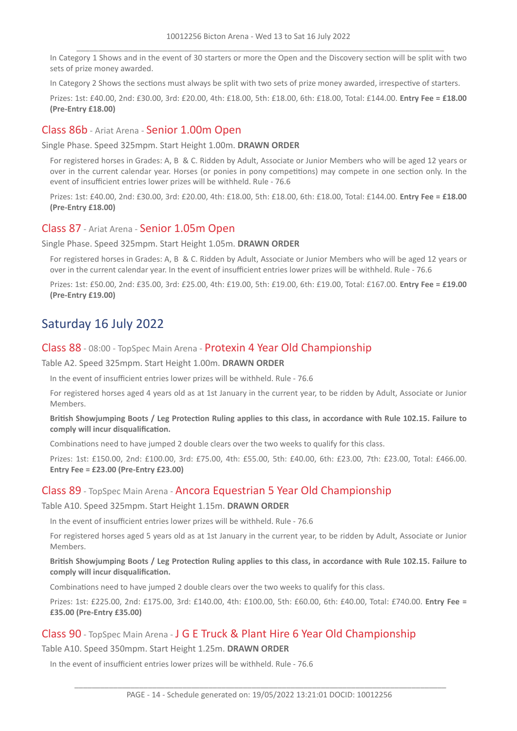In Category 1 Shows and in the event of 30 starters or more the Open and the Discovery section will be split with two sets of prize money awarded.

In Category 2 Shows the sections must always be split with two sets of prize money awarded, irrespective of starters.

Prizes: 1st: £40.00, 2nd: £30.00, 3rd: £20.00, 4th: £18.00, 5th: £18.00, 6th: £18.00, Total: £144.00. **Entry Fee = £18.00 (Pre-Entry £18.00)**

## Class 86b - Ariat Arena - Senior 1.00m Open

Single Phase. Speed 325mpm. Start Height 1.00m. **DRAWN ORDER**

For registered horses in Grades: A, B & C. Ridden by Adult, Associate or Junior Members who will be aged 12 years or over in the current calendar year. Horses (or ponies in pony competitions) may compete in one section only. In the event of insufficient entries lower prizes will be withheld. Rule - 76.6

Prizes: 1st: £40.00, 2nd: £30.00, 3rd: £20.00, 4th: £18.00, 5th: £18.00, 6th: £18.00, Total: £144.00. **Entry Fee = £18.00 (Pre-Entry £18.00)**

#### Class 87 - Ariat Arena - Senior 1.05m Open

Single Phase. Speed 325mpm. Start Height 1.05m. **DRAWN ORDER**

For registered horses in Grades: A, B & C. Ridden by Adult, Associate or Junior Members who will be aged 12 years or over in the current calendar year. In the event of insufficient entries lower prizes will be withheld. Rule - 76.6

Prizes: 1st: £50.00, 2nd: £35.00, 3rd: £25.00, 4th: £19.00, 5th: £19.00, 6th: £19.00, Total: £167.00. **Entry Fee = £19.00 (Pre-Entry £19.00)**

# Saturday 16 July 2022

#### Class 88 - 08:00 - TopSpec Main Arena - Protexin 4 Year Old Championship

Table A2. Speed 325mpm. Start Height 1.00m. **DRAWN ORDER**

In the event of insufficient entries lower prizes will be withheld. Rule - 76.6

For registered horses aged 4 years old as at 1st January in the current year, to be ridden by Adult, Associate or Junior Members.

British Showjumping Boots / Leg Protection Ruling applies to this class, in accordance with Rule 102.15. Failure to **comply will incur disqualification.**

Combinations need to have jumped 2 double clears over the two weeks to qualify for this class.

Prizes: 1st: £150.00, 2nd: £100.00, 3rd: £75.00, 4th: £55.00, 5th: £40.00, 6th: £23.00, 7th: £23.00, Total: £466.00. **Entry Fee = £23.00 (Pre-Entry £23.00)**

## Class 89 - TopSpec Main Arena - Ancora Equestrian 5 Year Old Championship

Table A10. Speed 325mpm. Start Height 1.15m. **DRAWN ORDER**

In the event of insufficient entries lower prizes will be withheld. Rule - 76.6

For registered horses aged 5 years old as at 1st January in the current year, to be ridden by Adult, Associate or Junior Members.

British Showjumping Boots / Leg Protection Ruling applies to this class, in accordance with Rule 102.15. Failure to **comply will incur disqualification.**

Combinations need to have jumped 2 double clears over the two weeks to qualify for this class.

Prizes: 1st: £225.00, 2nd: £175.00, 3rd: £140.00, 4th: £100.00, 5th: £60.00, 6th: £40.00, Total: £740.00. **Entry Fee = £35.00 (Pre-Entry £35.00)**

## Class 90 - TopSpec Main Arena - J G E Truck & Plant Hire 6 Year Old Championship

Table A10. Speed 350mpm. Start Height 1.25m. **DRAWN ORDER**

In the event of insufficient entries lower prizes will be withheld. Rule - 76.6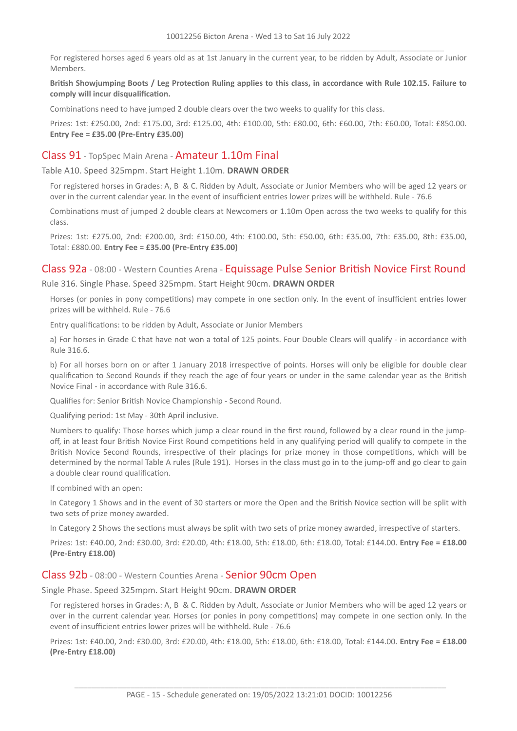For registered horses aged 6 years old as at 1st January in the current year, to be ridden by Adult, Associate or Junior Members.

#### British Showjumping Boots / Leg Protection Ruling applies to this class, in accordance with Rule 102.15. Failure to **comply will incur disqualification.**

Combinations need to have jumped 2 double clears over the two weeks to qualify for this class.

Prizes: 1st: £250.00, 2nd: £175.00, 3rd: £125.00, 4th: £100.00, 5th: £80.00, 6th: £60.00, 7th: £60.00, Total: £850.00. **Entry Fee = £35.00 (Pre-Entry £35.00)**

## Class 91 - TopSpec Main Arena - Amateur 1.10m Final

Table A10. Speed 325mpm. Start Height 1.10m. **DRAWN ORDER**

For registered horses in Grades: A, B & C. Ridden by Adult, Associate or Junior Members who will be aged 12 years or over in the current calendar year. In the event of insufficient entries lower prizes will be withheld. Rule - 76.6

Combinations must of jumped 2 double clears at Newcomers or 1.10m Open across the two weeks to qualify for this class.

Prizes: 1st: £275.00, 2nd: £200.00, 3rd: £150.00, 4th: £100.00, 5th: £50.00, 6th: £35.00, 7th: £35.00, 8th: £35.00, Total: £880.00. **Entry Fee = £35.00 (Pre-Entry £35.00)**

#### Class 92a - 08:00 - Western Counties Arena - Equissage Pulse Senior British Novice First Round

Rule 316. Single Phase. Speed 325mpm. Start Height 90cm. **DRAWN ORDER**

Horses (or ponies in pony competitions) may compete in one section only. In the event of insufficient entries lower prizes will be withheld. Rule - 76.6

Entry qualifications: to be ridden by Adult, Associate or Junior Members

a) For horses in Grade C that have not won a total of 125 points. Four Double Clears will qualify - in accordance with Rule 316.6.

b) For all horses born on or after 1 January 2018 irrespective of points. Horses will only be eligible for double clear qualification to Second Rounds if they reach the age of four years or under in the same calendar year as the British Novice Final - in accordance with Rule 316.6.

Qualifies for: Senior British Novice Championship - Second Round.

Qualifying period: 1st May - 30th April inclusive.

Numbers to qualify: Those horses which jump a clear round in the first round, followed by a clear round in the jumpoff, in at least four British Novice First Round competitions held in any qualifying period will qualify to compete in the British Novice Second Rounds, irrespective of their placings for prize money in those competitions, which will be determined by the normal Table A rules (Rule 191). Horses in the class must go in to the jump-off and go clear to gain a double clear round qualification.

If combined with an open:

In Category 1 Shows and in the event of 30 starters or more the Open and the British Novice section will be split with two sets of prize money awarded.

In Category 2 Shows the sections must always be split with two sets of prize money awarded, irrespective of starters.

Prizes: 1st: £40.00, 2nd: £30.00, 3rd: £20.00, 4th: £18.00, 5th: £18.00, 6th: £18.00, Total: £144.00. **Entry Fee = £18.00 (Pre-Entry £18.00)**

#### Class 92b - 08:00 - Western Counties Arena - Senior 90cm Open

Single Phase. Speed 325mpm. Start Height 90cm. **DRAWN ORDER**

For registered horses in Grades: A, B & C. Ridden by Adult, Associate or Junior Members who will be aged 12 years or over in the current calendar year. Horses (or ponies in pony competitions) may compete in one section only. In the event of insufficient entries lower prizes will be withheld. Rule - 76.6

Prizes: 1st: £40.00, 2nd: £30.00, 3rd: £20.00, 4th: £18.00, 5th: £18.00, 6th: £18.00, Total: £144.00. **Entry Fee = £18.00 (Pre-Entry £18.00)**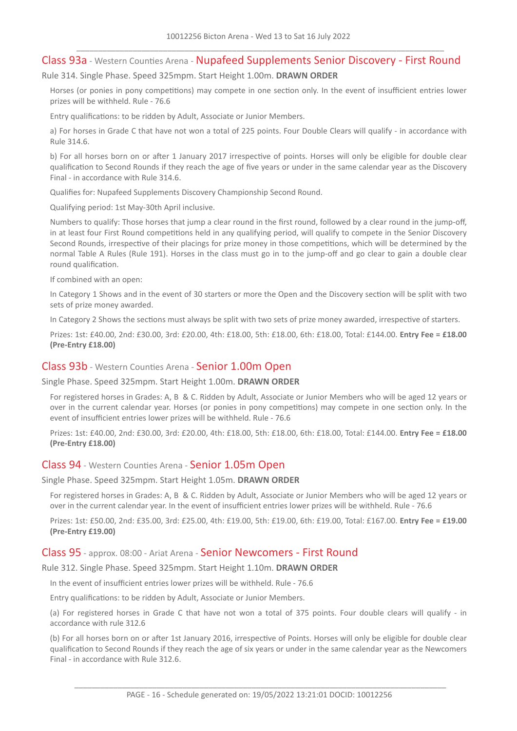## Class 93a - Western Counties Arena - Nupafeed Supplements Senior Discovery - First Round

Rule 314. Single Phase. Speed 325mpm. Start Height 1.00m. **DRAWN ORDER**

Horses (or ponies in pony competitions) may compete in one section only. In the event of insufficient entries lower prizes will be withheld. Rule - 76.6

Entry qualifications: to be ridden by Adult, Associate or Junior Members.

a) For horses in Grade C that have not won a total of 225 points. Four Double Clears will qualify - in accordance with Rule 314.6.

b) For all horses born on or after 1 January 2017 irrespective of points. Horses will only be eligible for double clear qualification to Second Rounds if they reach the age of five years or under in the same calendar year as the Discovery Final - in accordance with Rule 314.6.

Qualifies for: Nupafeed Supplements Discovery Championship Second Round.

Qualifying period: 1st May-30th April inclusive.

Numbers to qualify: Those horses that jump a clear round in the first round, followed by a clear round in the jump-off, in at least four First Round competitions held in any qualifying period, will qualify to compete in the Senior Discovery Second Rounds, irrespective of their placings for prize money in those competitions, which will be determined by the normal Table A Rules (Rule 191). Horses in the class must go in to the jump-off and go clear to gain a double clear round qualification.

If combined with an open:

In Category 1 Shows and in the event of 30 starters or more the Open and the Discovery section will be split with two sets of prize money awarded.

In Category 2 Shows the sections must always be split with two sets of prize money awarded, irrespective of starters.

Prizes: 1st: £40.00, 2nd: £30.00, 3rd: £20.00, 4th: £18.00, 5th: £18.00, 6th: £18.00, Total: £144.00. **Entry Fee = £18.00 (Pre-Entry £18.00)**

#### Class 93b - Western Counties Arena - Senior 1.00m Open

Single Phase. Speed 325mpm. Start Height 1.00m. **DRAWN ORDER**

For registered horses in Grades: A, B & C. Ridden by Adult, Associate or Junior Members who will be aged 12 years or over in the current calendar year. Horses (or ponies in pony competitions) may compete in one section only. In the event of insufficient entries lower prizes will be withheld. Rule - 76.6

Prizes: 1st: £40.00, 2nd: £30.00, 3rd: £20.00, 4th: £18.00, 5th: £18.00, 6th: £18.00, Total: £144.00. **Entry Fee = £18.00 (Pre-Entry £18.00)**

#### Class 94 - Western Counties Arena - Senior 1.05m Open

Single Phase. Speed 325mpm. Start Height 1.05m. **DRAWN ORDER**

For registered horses in Grades: A, B & C. Ridden by Adult, Associate or Junior Members who will be aged 12 years or over in the current calendar year. In the event of insufficient entries lower prizes will be withheld. Rule - 76.6

Prizes: 1st: £50.00, 2nd: £35.00, 3rd: £25.00, 4th: £19.00, 5th: £19.00, 6th: £19.00, Total: £167.00. **Entry Fee = £19.00 (Pre-Entry £19.00)**

#### Class 95 - approx. 08:00 - Ariat Arena - Senior Newcomers - First Round

Rule 312. Single Phase. Speed 325mpm. Start Height 1.10m. **DRAWN ORDER**

In the event of insufficient entries lower prizes will be withheld. Rule - 76.6

Entry qualifications: to be ridden by Adult, Associate or Junior Members.

(a) For registered horses in Grade C that have not won a total of 375 points. Four double clears will qualify - in accordance with rule 312.6

(b) For all horses born on or after 1st January 2016, irrespective of Points. Horses will only be eligible for double clear qualification to Second Rounds if they reach the age of six years or under in the same calendar year as the Newcomers Final - in accordance with Rule 312.6.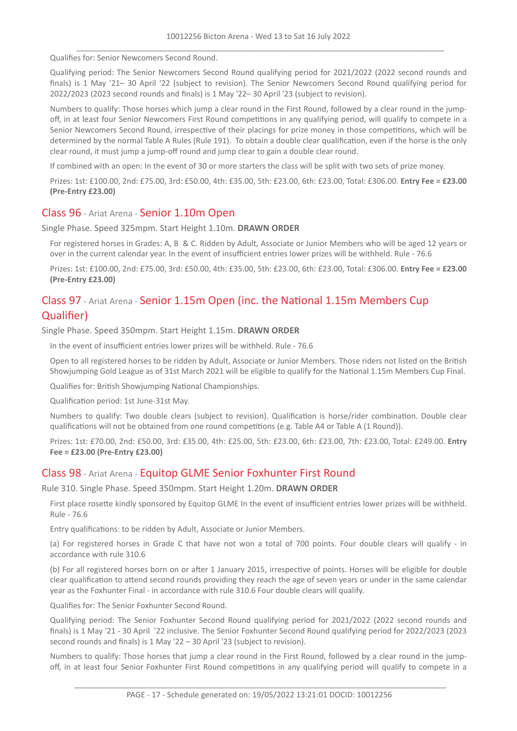Qualifies for: Senior Newcomers Second Round.

Qualifying period: The Senior Newcomers Second Round qualifying period for 2021/2022 (2022 second rounds and finals) is 1 May '21– 30 April '22 (subject to revision). The Senior Newcomers Second Round qualifying period for 2022/2023 (2023 second rounds and finals) is 1 May '22– 30 April '23 (subject to revision).

Numbers to qualify: Those horses which jump a clear round in the First Round, followed by a clear round in the jumpoff, in at least four Senior Newcomers First Round competitions in any qualifying period, will qualify to compete in a Senior Newcomers Second Round, irrespective of their placings for prize money in those competitions, which will be determined by the normal Table A Rules (Rule 191). To obtain a double clear qualification, even if the horse is the only clear round, it must jump a jump-off round and jump clear to gain a double clear round.

If combined with an open: In the event of 30 or more starters the class will be split with two sets of prize money.

Prizes: 1st: £100.00, 2nd: £75.00, 3rd: £50.00, 4th: £35.00, 5th: £23.00, 6th: £23.00, Total: £306.00. **Entry Fee = £23.00 (Pre-Entry £23.00)**

#### Class 96 - Ariat Arena - Senior 1.10m Open

Single Phase. Speed 325mpm. Start Height 1.10m. **DRAWN ORDER**

For registered horses in Grades: A, B & C. Ridden by Adult, Associate or Junior Members who will be aged 12 years or over in the current calendar year. In the event of insufficient entries lower prizes will be withheld. Rule - 76.6

Prizes: 1st: £100.00, 2nd: £75.00, 3rd: £50.00, 4th: £35.00, 5th: £23.00, 6th: £23.00, Total: £306.00. **Entry Fee = £23.00 (Pre-Entry £23.00)**

## Class 97 - Ariat Arena - Senior 1.15m Open (inc. the National 1.15m Members Cup Qualifier)

Single Phase. Speed 350mpm. Start Height 1.15m. **DRAWN ORDER**

In the event of insufficient entries lower prizes will be withheld. Rule - 76.6

Open to all registered horses to be ridden by Adult, Associate or Junior Members. Those riders not listed on the British Showjumping Gold League as of 31st March 2021 will be eligible to qualify for the National 1.15m Members Cup Final.

Qualifies for: British Showjumping National Championships.

Qualification period: 1st June-31st May.

Numbers to qualify: Two double clears (subject to revision). Qualification is horse/rider combination. Double clear qualifications will not be obtained from one round competitions (e.g. Table A4 or Table A (1 Round)).

Prizes: 1st: £70.00, 2nd: £50.00, 3rd: £35.00, 4th: £25.00, 5th: £23.00, 6th: £23.00, 7th: £23.00, Total: £249.00. **Entry Fee = £23.00 (Pre-Entry £23.00)**

## Class 98 - Ariat Arena - Equitop GLME Senior Foxhunter First Round

Rule 310. Single Phase. Speed 350mpm. Start Height 1.20m. **DRAWN ORDER**

First place rosette kindly sponsored by Equitop GLME In the event of insufficient entries lower prizes will be withheld. Rule - 76.6

Entry qualifications: to be ridden by Adult, Associate or Junior Members.

(a) For registered horses in Grade C that have not won a total of 700 points. Four double clears will qualify - in accordance with rule 310.6

(b) For all registered horses born on or after 1 January 2015, irrespective of points. Horses will be eligible for double clear qualification to attend second rounds providing they reach the age of seven years or under in the same calendar year as the Foxhunter Final - in accordance with rule 310.6 Four double clears will qualify.

Qualifies for: The Senior Foxhunter Second Round.

Qualifying period: The Senior Foxhunter Second Round qualifying period for 2021/2022 (2022 second rounds and finals) is 1 May '21 - 30 April '22 inclusive. The Senior Foxhunter Second Round qualifying period for 2022/2023 (2023 second rounds and finals) is 1 May '22 – 30 April '23 (subject to revision).

Numbers to qualify: Those horses that jump a clear round in the First Round, followed by a clear round in the jumpoff, in at least four Senior Foxhunter First Round competitions in any qualifying period will qualify to compete in a